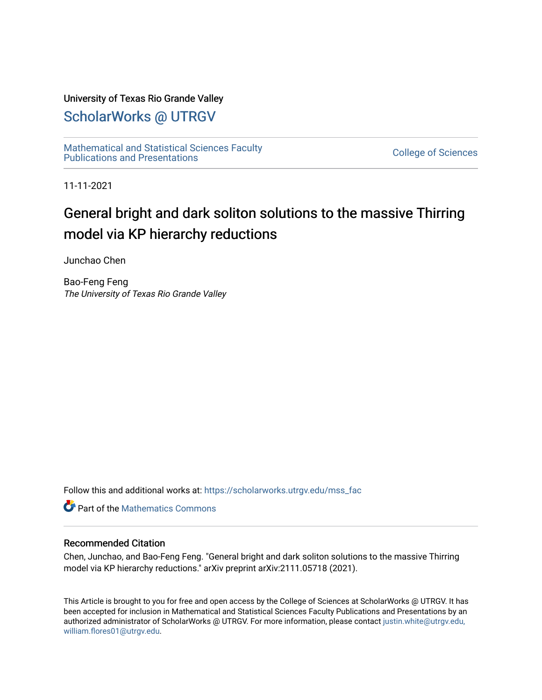### University of Texas Rio Grande Valley

# [ScholarWorks @ UTRGV](https://scholarworks.utrgv.edu/)

[Mathematical and Statistical Sciences Faculty](https://scholarworks.utrgv.edu/mss_fac)  mathematical and Statistical Sciences Faculty<br>Publications and Presentations

11-11-2021

# General bright and dark soliton solutions to the massive Thirring model via KP hierarchy reductions

Junchao Chen

Bao-Feng Feng The University of Texas Rio Grande Valley

Follow this and additional works at: [https://scholarworks.utrgv.edu/mss\\_fac](https://scholarworks.utrgv.edu/mss_fac?utm_source=scholarworks.utrgv.edu%2Fmss_fac%2F265&utm_medium=PDF&utm_campaign=PDFCoverPages) 

**C** Part of the [Mathematics Commons](http://network.bepress.com/hgg/discipline/174?utm_source=scholarworks.utrgv.edu%2Fmss_fac%2F265&utm_medium=PDF&utm_campaign=PDFCoverPages)

#### Recommended Citation

Chen, Junchao, and Bao-Feng Feng. "General bright and dark soliton solutions to the massive Thirring model via KP hierarchy reductions." arXiv preprint arXiv:2111.05718 (2021).

This Article is brought to you for free and open access by the College of Sciences at ScholarWorks @ UTRGV. It has been accepted for inclusion in Mathematical and Statistical Sciences Faculty Publications and Presentations by an authorized administrator of ScholarWorks @ UTRGV. For more information, please contact [justin.white@utrgv.edu,](mailto:justin.white@utrgv.edu,%20william.flores01@utrgv.edu)  [william.flores01@utrgv.edu](mailto:justin.white@utrgv.edu,%20william.flores01@utrgv.edu).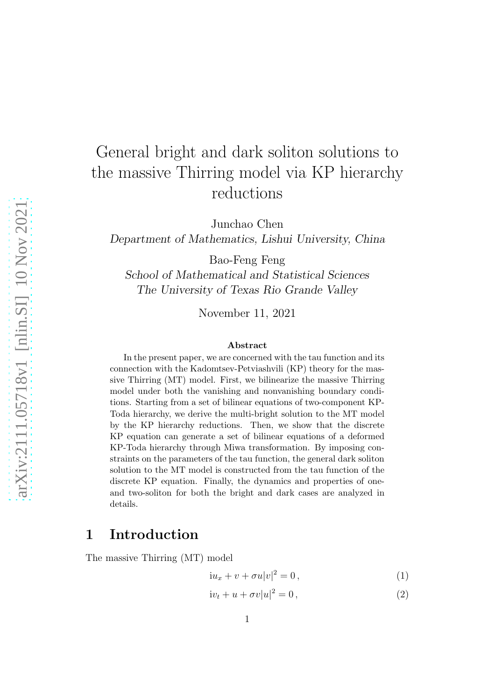# General bright and dark soliton solutions to the massive Thirring model via KP hierarchy reductions

Junchao Chen

Department of Mathematics, Lishui University, China

Bao-Feng Feng

School of Mathematical and Statistical Sciences The University of Texas Rio Grande Valley

November 11, 2021

#### Abstract

In the present paper, we are concerned with the tau function and its connection with the Kadomtsev-Petviashvili (KP) theory for the massive Thirring (MT) model. First, we bilinearize the massive Thirring model under both the vanishing and nonvanishing boundary conditions. Starting from a set of bilinear equations of two-component KP-Toda hierarchy, we derive the multi-bright solution to the MT model by the KP hierarchy reductions. Then, we show that the discrete KP equation can generate a set of bilinear equations of a deformed KP-Toda hierarchy through Miwa transformation. By imposing constraints on the parameters of the tau function, the general dark soliton solution to the MT model is constructed from the tau function of the discrete KP equation. Finally, the dynamics and properties of oneand two-soliton for both the bright and dark cases are analyzed in details.

## 1 Introduction

The massive Thirring (MT) model

<span id="page-1-0"></span>
$$
iu_x + v + \sigma u |v|^2 = 0, \qquad (1)
$$

$$
iv_t + u + \sigma v|u|^2 = 0, \qquad (2)
$$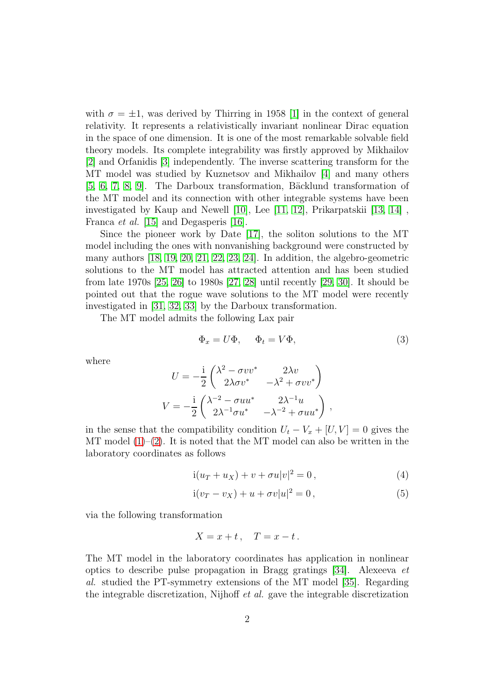with  $\sigma = \pm 1$ , was derived by Thirring in 1958 [\[1\]](#page-23-0) in the context of general relativity. It represents a relativistically invariant nonlinear Dirac equation in the space of one dimension. It is one of the most remarkable solvable field theory models. Its complete integrability was firstly approved by Mikhailov [\[2\]](#page-23-1) and Orfanidis [\[3\]](#page-23-2) independently. The inverse scattering transform for the MT model was studied by Kuznetsov and Mikhailov [\[4\]](#page-24-0) and many others [\[5,](#page-24-1) [6,](#page-24-2) [7,](#page-24-3) [8,](#page-24-4) [9\]](#page-24-5). The Darboux transformation, Bäcklund transformation of the MT model and its connection with other integrable systems have been investigated by Kaup and Newell [\[10\]](#page-24-6), Lee [\[11,](#page-24-7) [12\]](#page-24-8), Prikarpatskii [\[13,](#page-24-9) [14\]](#page-24-10) , Franca *et al.* [\[15\]](#page-25-0) and Degasperis [\[16\]](#page-25-1).

Since the pioneer work by Date [\[17\]](#page-25-2), the soliton solutions to the MT model including the ones with nonvanishing background were constructed by many authors [\[18,](#page-25-3) [19,](#page-25-4) [20,](#page-25-5) [21,](#page-25-6) [22,](#page-25-7) [23,](#page-25-8) [24\]](#page-25-9). In addition, the algebro-geometric solutions to the MT model has attracted attention and has been studied from late 1970s [\[25,](#page-25-10) [26\]](#page-25-11) to 1980s [\[27,](#page-26-0) [28\]](#page-26-1) until recently [\[29,](#page-26-2) [30\]](#page-26-3). It should be pointed out that the rogue wave solutions to the MT model were recently investigated in [\[31,](#page-26-4) [32,](#page-26-5) [33\]](#page-26-6) by the Darboux transformation.

The MT model admits the following Lax pair

$$
\Phi_x = U\Phi, \qquad \Phi_t = V\Phi,\tag{3}
$$

where

$$
U = -\frac{i}{2} \begin{pmatrix} \lambda^2 - \sigma v v^* & 2\lambda v \\ 2\lambda \sigma v^* & -\lambda^2 + \sigma v v^* \end{pmatrix}
$$
  

$$
V = -\frac{i}{2} \begin{pmatrix} \lambda^{-2} - \sigma u u^* & 2\lambda^{-1} u \\ 2\lambda^{-1} \sigma u^* & -\lambda^{-2} + \sigma u u^* \end{pmatrix},
$$

in the sense that the compatibility condition  $U_t - V_x + [U, V] = 0$  gives the MT model  $(1)-(2)$  $(1)-(2)$ . It is noted that the MT model can also be written in the laboratory coordinates as follows

$$
i(u_T + u_X) + v + \sigma u |v|^2 = 0,
$$
\n(4)

$$
i(v_T - v_X) + u + \sigma v|u|^2 = 0,
$$
\n(5)

via the following transformation

$$
X = x + t, \quad T = x - t.
$$

The MT model in the laboratory coordinates has application in nonlinear optics to describe pulse propagation in Bragg gratings [\[34\]](#page-26-7). Alexeeva et al. studied the PT-symmetry extensions of the MT model [\[35\]](#page-26-8). Regarding the integrable discretization, Nijhoff et al. gave the integrable discretization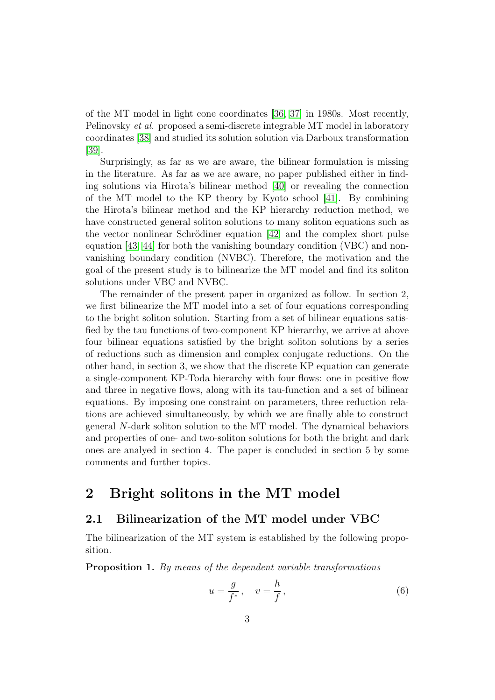of the MT model in light cone coordinates [\[36,](#page-26-9) [37\]](#page-26-10) in 1980s. Most recently, Pelinovsky et al. proposed a semi-discrete integrable MT model in laboratory coordinates [\[38\]](#page-26-11) and studied its solution solution via Darboux transformation [\[39\]](#page-27-0).

Surprisingly, as far as we are aware, the bilinear formulation is missing in the literature. As far as we are aware, no paper published either in finding solutions via Hirota's bilinear method [\[40\]](#page-27-1) or revealing the connection of the MT model to the KP theory by Kyoto school [\[41\]](#page-27-2). By combining the Hirota's bilinear method and the KP hierarchy reduction method, we have constructed general soliton solutions to many soliton equations such as the vector nonlinear Schrödiner equation  $[42]$  and the complex short pulse equation [\[43,](#page-27-4) [44\]](#page-27-5) for both the vanishing boundary condition (VBC) and nonvanishing boundary condition (NVBC). Therefore, the motivation and the goal of the present study is to bilinearize the MT model and find its soliton solutions under VBC and NVBC.

The remainder of the present paper in organized as follow. In section 2, we first bilinearize the MT model into a set of four equations corresponding to the bright soliton solution. Starting from a set of bilinear equations satisfied by the tau functions of two-component KP hierarchy, we arrive at above four bilinear equations satisfied by the bright soliton solutions by a series of reductions such as dimension and complex conjugate reductions. On the other hand, in section 3, we show that the discrete KP equation can generate a single-component KP-Toda hierarchy with four flows: one in positive flow and three in negative flows, along with its tau-function and a set of bilinear equations. By imposing one constraint on parameters, three reduction relations are achieved simultaneously, by which we are finally able to construct general N-dark soliton solution to the MT model. The dynamical behaviors and properties of one- and two-soliton solutions for both the bright and dark ones are analyed in section 4. The paper is concluded in section 5 by some comments and further topics.

# 2 Bright solitons in the MT model

### 2.1 Bilinearization of the MT model under VBC

The bilinearization of the MT system is established by the following proposition.

Proposition 1. By means of the dependent variable transformations

<span id="page-3-0"></span>
$$
u = \frac{g}{f^*}, \quad v = \frac{h}{f},\tag{6}
$$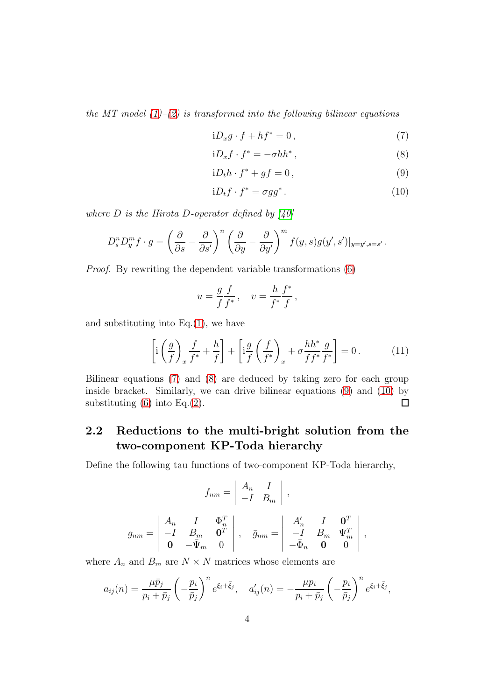the MT model  $(1)$ – $(2)$  is transformed into the following bilinear equations

<span id="page-4-0"></span>
$$
iD_x g \cdot f + h f^* = 0, \qquad (7)
$$

$$
iD_x f \cdot f^* = -\sigma h h^*,\tag{8}
$$

$$
iD_t h \cdot f^* + gf = 0, \qquad (9)
$$

$$
iD_t f \cdot f^* = \sigma g g^* \,. \tag{10}
$$

where  $D$  is the Hirota D-operator defined by [\[40\]](#page-27-1)

$$
D_s^n D_y^m f \cdot g = \left(\frac{\partial}{\partial s} - \frac{\partial}{\partial s'}\right)^n \left(\frac{\partial}{\partial y} - \frac{\partial}{\partial y'}\right)^m f(y, s) g(y', s')|_{y = y', s = s'}.
$$

Proof. By rewriting the dependent variable transformations [\(6\)](#page-3-0)

$$
u = \frac{g}{f} \frac{f}{f^*}, \quad v = \frac{h}{f^*} \frac{f^*}{f},
$$

and substituting into  $Eq.(1)$  $Eq.(1)$ , we have

$$
\left[\mathrm{i}\left(\frac{g}{f}\right)_x \frac{f}{f^*} + \frac{h}{f}\right] + \left[\mathrm{i}\frac{g}{f}\left(\frac{f}{f^*}\right)_x + \sigma \frac{hh^*}{ff^*} \frac{g}{f^*}\right] = 0\,. \tag{11}
$$

Bilinear equations [\(7\)](#page-4-0) and [\(8\)](#page-4-0) are deduced by taking zero for each group inside bracket. Similarly, we can drive bilinear equations [\(9\)](#page-4-0) and [\(10\)](#page-4-0) by substituting  $(6)$  into Eq. $(2)$ .  $\Box$ 

## 2.2 Reductions to the multi-bright solution from the two-component KP-Toda hierarchy

Define the following tau functions of two-component KP-Toda hierarchy,

$$
f_{nm} = \begin{vmatrix} A_n & I \\ -I & B_m \end{vmatrix},
$$

$$
g_{nm} = \begin{vmatrix} A_n & I & \Phi_n^T \\ -I & B_m & \mathbf{0}^T \\ \mathbf{0} & -\bar{\Psi}_m & 0 \end{vmatrix}, \quad \bar{g}_{nm} = \begin{vmatrix} A'_n & I & \mathbf{0}^T \\ -I & B_m & \Psi_m^T \\ -\bar{\Phi}_n & \mathbf{0} & 0 \end{vmatrix},
$$

where  $A_n$  and  $B_m$  are  $N \times N$  matrices whose elements are

$$
a_{ij}(n) = \frac{\mu \bar{p}_j}{p_i + \bar{p}_j} \left(-\frac{p_i}{\bar{p}_j}\right)^n e^{\xi_i + \bar{\xi}_j}, \quad a'_{ij}(n) = -\frac{\mu p_i}{p_i + \bar{p}_j} \left(-\frac{p_i}{\bar{p}_j}\right)^n e^{\xi_i + \bar{\xi}_j},
$$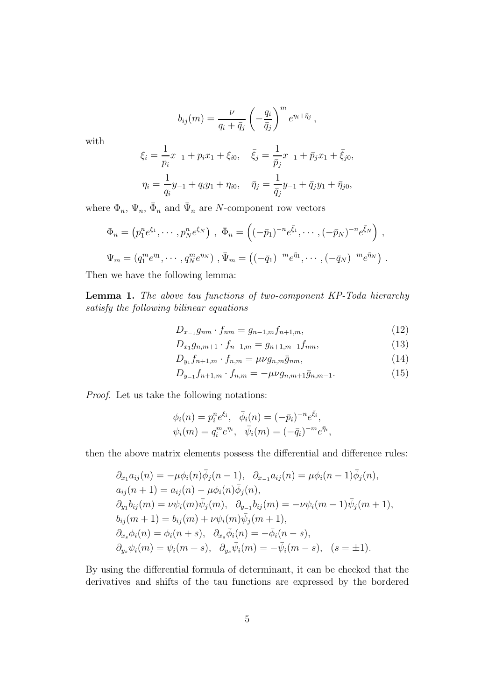$$
b_{ij}(m) = \frac{\nu}{q_i + \bar{q}_j} \left(-\frac{q_i}{\bar{q}_j}\right)^m e^{\eta_i + \bar{\eta}_j},
$$

with

$$
\xi_i = \frac{1}{p_i} x_{-1} + p_i x_1 + \xi_{i0}, \quad \bar{\xi}_j = \frac{1}{\bar{p}_j} x_{-1} + \bar{p}_j x_1 + \bar{\xi}_{j0},
$$
  

$$
\eta_i = \frac{1}{q_i} y_{-1} + q_i y_1 + \eta_{i0}, \quad \bar{\eta}_j = \frac{1}{\bar{q}_j} y_{-1} + \bar{q}_j y_1 + \bar{\eta}_{j0},
$$

where  $\Phi_n$ ,  $\Psi_n$ ,  $\bar{\Phi}_n$  and  $\bar{\Psi}_n$  are N-component row vectors

$$
\Phi_n = (p_1^n e^{\xi_1}, \cdots, p_N^n e^{\xi_N}) , \ \bar{\Phi}_n = ((-\bar{p}_1)^{-n} e^{\bar{\xi}_1}, \cdots, (-\bar{p}_N)^{-n} e^{\bar{\xi}_N}) ,
$$
  

$$
\Psi_m = (q_1^m e^{\eta_1}, \cdots, q_N^m e^{\eta_N}) , \bar{\Psi}_m = ((-\bar{q}_1)^{-m} e^{\bar{\eta}_1}, \cdots, (-\bar{q}_N)^{-m} e^{\bar{\eta}_N}) .
$$

Then we have the following lemma:

Lemma 1. The above tau functions of two-component KP-Toda hierarchy satisfy the following bilinear equations

<span id="page-5-0"></span>
$$
D_{x_{-1}}g_{nm} \cdot f_{nm} = g_{n-1,m}f_{n+1,m}, \qquad (12)
$$

$$
D_{x_1}g_{n,m+1} \cdot f_{n+1,m} = g_{n+1,m+1}f_{nm},\tag{13}
$$

$$
D_{y_1} f_{n+1,m} \cdot f_{n,m} = \mu \nu g_{n,m} \bar{g}_{nm}, \qquad (14)
$$

$$
D_{y_{-1}} f_{n+1,m} \cdot f_{n,m} = -\mu\nu g_{n,m+1} \bar{g}_{n,m-1}.
$$
 (15)

Proof. Let us take the following notations:

$$
\phi_i(n) = p_i^n e^{\xi_i}, \quad \bar{\phi}_i(n) = (-\bar{p}_i)^{-n} e^{\bar{\xi}_i}, \n\psi_i(m) = q_i^m e^{\eta_i}, \quad \bar{\psi}_i(m) = (-\bar{q}_i)^{-m} e^{\bar{\eta}_i},
$$

then the above matrix elements possess the differential and difference rules:

$$
\partial_{x_1} a_{ij}(n) = -\mu \phi_i(n) \bar{\phi}_j(n-1), \quad \partial_{x_{-1}} a_{ij}(n) = \mu \phi_i(n-1) \bar{\phi}_j(n),
$$
  
\n
$$
a_{ij}(n+1) = a_{ij}(n) - \mu \phi_i(n) \bar{\phi}_j(n),
$$
  
\n
$$
\partial_{y_1} b_{ij}(m) = \nu \psi_i(m) \bar{\psi}_j(m), \quad \partial_{y_{-1}} b_{ij}(m) = -\nu \psi_i(m-1) \bar{\psi}_j(m+1),
$$
  
\n
$$
b_{ij}(m+1) = b_{ij}(m) + \nu \psi_i(m) \bar{\psi}_j(m+1),
$$
  
\n
$$
\partial_{x_s} \phi_i(n) = \phi_i(n+s), \quad \partial_{x_s} \bar{\phi}_i(n) = -\bar{\phi}_i(n-s),
$$
  
\n
$$
\partial_{y_s} \psi_i(m) = \psi_i(m+s), \quad \partial_{y_s} \bar{\psi}_i(m) = -\bar{\psi}_i(m-s), \quad (s = \pm 1).
$$

By using the differential formula of determinant, it can be checked that the derivatives and shifts of the tau functions are expressed by the bordered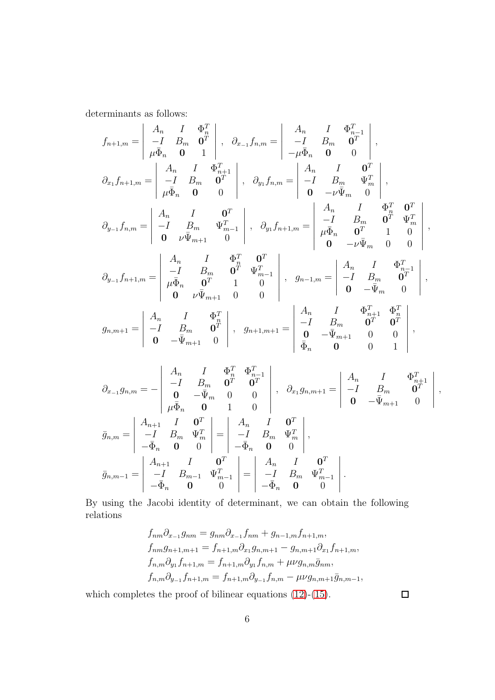determinants as follows:

$$
f_{n+1,m} = \begin{vmatrix} A_n & I & \Phi_n^T \\ -I & B_m & 0^T \\ \mu \bar{\Phi}_n & 0 & 1 \end{vmatrix}, \quad \partial_{x-1} f_{n,m} = \begin{vmatrix} A_n & I & \Phi_{n-1}^T \\ -I & B_m & 0^T \\ -\mu \bar{\Phi}_n & 0 & 0 \end{vmatrix},
$$
  
\n
$$
\partial_{x_1} f_{n+1,m} = \begin{vmatrix} A_n & I & \Phi_{n+1}^T \\ -I & B_m & 0^T \\ \mu \bar{\Phi}_n & 0 & 0 \end{vmatrix}, \quad \partial_{y_1} f_{n,m} = \begin{vmatrix} A_n & I & 0^T \\ -I & B_m & \Psi_m^T \\ 0 & -\nu \bar{\Psi}_m & 0 \end{vmatrix},
$$
  
\n
$$
\partial_{y-1} f_{n,m} = \begin{vmatrix} A_n & I & 0^T \\ -I & B_m & \Psi_{n-1}^T \\ 0 & \nu \bar{\Psi}_{m+1} & 0 \end{vmatrix}, \quad \partial_{y_1} f_{n+1,m} = \begin{vmatrix} A_n & I & \Phi_n^T & 0^T \\ -I & B_m & 0^T & \Psi_m^T \\ \mu \bar{\Phi}_n & 0^T & 1 & 0 \\ 0 & -\nu \bar{\Psi}_m & 0 & 0 \end{vmatrix},
$$
  
\n
$$
\partial_{y-1} f_{n+1,m} = \begin{vmatrix} A_n & I & \Phi_n^T & 0^T \\ -I & B_m & 0^T & \Psi_{m-1}^T \\ \mu \bar{\Phi}_n & 0^T & 1 & 0 \\ 0 & \nu \bar{\Psi}_{m+1} & 0 & 0 \end{vmatrix}, \quad g_{n-1,m} = \begin{vmatrix} A_n & I & \Phi_{n-1}^T \\ -I & B_m & 0^T \\ 0 & -\bar{\Psi}_m & 0 \end{vmatrix},
$$
  
\n
$$
g_{n,m+1} = \begin{vmatrix} A_n & I & \Phi_n^T \\ -I & B_m & 0^T \\ 0 & -\bar{\Psi}_{m+1} & 0 \end{vmatrix}, \quad g_{n+1,m+1} = \begin{vmatrix} A_n & I & \Phi_{n+1}^T & \Phi_n^T \\ -I & B_m & 0^T & 0^T \\ \bar{\Phi}_n & 0 & 0 &
$$

$$
\partial_{x_{-1}}g_{n,m} = -\begin{vmatrix}\nA_n & I & \Phi_n^T & \Phi_{n-1}^T \\
-I & B_m & \mathbf{0}^T & \mathbf{0}^T \\
\mathbf{0} & -\bar{\Psi}_m & 0 & 0 \\
\mu \bar{\Phi}_n & \mathbf{0} & 1 & 0\n\end{vmatrix}, \quad \partial_{x_1}g_{n,m+1} = \begin{vmatrix}\nA_n & I & \Phi_{n+1}^T \\
-I & B_m & \mathbf{0}^T \\
\mathbf{0} & -\bar{\Psi}_{m+1} & 0\n\end{vmatrix},
$$
\n
$$
\bar{g}_{n,m} = \begin{vmatrix}\nA_{n+1} & I & \mathbf{0}^T \\
-I & B_m & \Psi_m^T \\
-\bar{\Phi}_n & \mathbf{0} & 0\n\end{vmatrix} = \begin{vmatrix}\nA_n & I & \mathbf{0}^T \\
-I & B_m & \Psi_m^T \\
-\bar{\Phi}_n & \mathbf{0} & 0\n\end{vmatrix},
$$
\n
$$
\bar{g}_{n,m-1} = \begin{vmatrix}\nA_{n+1} & I & \mathbf{0}^T \\
-I & B_{m-1} & \Psi_{m-1}^T \\
-\bar{\Phi}_n & \mathbf{0} & 0\n\end{vmatrix} = \begin{vmatrix}\nA_n & I & \mathbf{0}^T \\
-I & B_m & \Psi_m^T \\
-I & B_m & \Psi_{m-1}^T \\
-\bar{\Phi}_n & \mathbf{0} & 0\n\end{vmatrix}.
$$

By using the Jacobi identity of determinant, we can obtain the following relations

$$
f_{nm}\partial_{x_{-1}}g_{nm} = g_{nm}\partial_{x_{-1}}f_{nm} + g_{n-1,m}f_{n+1,m},
$$
  
\n
$$
f_{nm}g_{n+1,m+1} = f_{n+1,m}\partial_{x_1}g_{n,m+1} - g_{n,m+1}\partial_{x_1}f_{n+1,m},
$$
  
\n
$$
f_{n,m}\partial_{y_1}f_{n+1,m} = f_{n+1,m}\partial_{y_1}f_{n,m} + \mu\nu g_{n,m}\bar{g}_{nm},
$$
  
\n
$$
f_{n,m}\partial_{y_{-1}}f_{n+1,m} = f_{n+1,m}\partial_{y_{-1}}f_{n,m} - \mu\nu g_{n,m+1}\bar{g}_{n,m-1},
$$

which completes the proof of bilinear equations  $(12)-(15)$  $(12)-(15)$ .

 $\Box$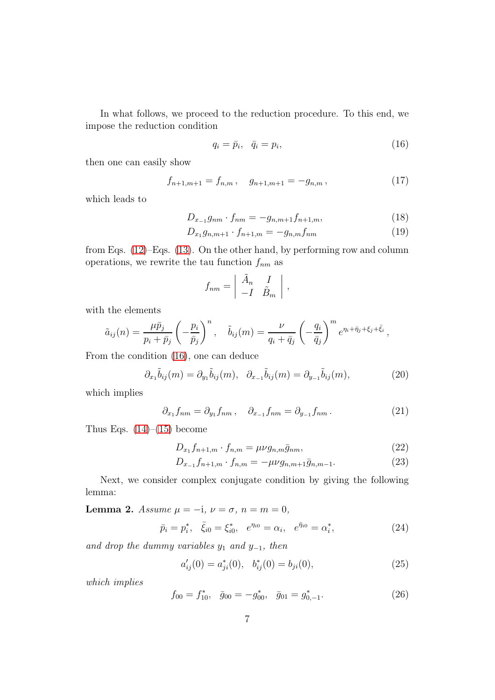In what follows, we proceed to the reduction procedure. To this end, we impose the reduction condition

<span id="page-7-0"></span>
$$
q_i = \bar{p}_i, \quad \bar{q}_i = p_i,\tag{16}
$$

then one can easily show

$$
f_{n+1,m+1} = f_{n,m}, \quad g_{n+1,m+1} = -g_{n,m}, \tag{17}
$$

which leads to

$$
D_{x_{-1}}g_{nm} \cdot f_{nm} = -g_{n,m+1}f_{n+1,m},\tag{18}
$$

$$
D_{x_1}g_{n,m+1} \cdot f_{n+1,m} = -g_{n,m}f_{nm} \tag{19}
$$

,

from Eqs. [\(12\)](#page-5-0)–Eqs. [\(13\)](#page-5-0). On the other hand, by performing row and column operations, we rewrite the tau function  $f_{nm}$  as

$$
f_{nm} = \begin{vmatrix} \tilde{A}_n & I \\ -I & \tilde{B}_m \end{vmatrix}
$$

with the elements

$$
\tilde{a}_{ij}(n) = \frac{\mu \bar{p}_j}{p_i + \bar{p}_j} \left( -\frac{p_i}{\bar{p}_j} \right)^n, \quad \tilde{b}_{ij}(m) = \frac{\nu}{q_i + \bar{q}_j} \left( -\frac{q_i}{\bar{q}_j} \right)^m e^{\eta_i + \bar{\eta}_j + \xi_j + \bar{\xi}_i},
$$

From the condition [\(16\)](#page-7-0), one can deduce

$$
\partial_{x_1}\tilde{b}_{ij}(m) = \partial_{y_1}\tilde{b}_{ij}(m), \quad \partial_{x_{-1}}\tilde{b}_{ij}(m) = \partial_{y_{-1}}\tilde{b}_{ij}(m), \tag{20}
$$

which implies

$$
\partial_{x_1} f_{nm} = \partial_{y_1} f_{nm}, \quad \partial_{x_{-1}} f_{nm} = \partial_{y_{-1}} f_{nm}.
$$
 (21)

Thus Eqs.  $(14)$ – $(15)$  become

$$
D_{x_1}f_{n+1,m} \cdot f_{n,m} = \mu\nu g_{n,m}\bar{g}_{nm},\qquad(22)
$$

$$
D_{x_{-1}}f_{n+1,m} \cdot f_{n,m} = -\mu\nu g_{n,m+1}\bar{g}_{n,m-1}.
$$
 (23)

Next, we consider complex conjugate condition by giving the following lemma:

Lemma 2. Assume  $\mu = -i$ ,  $\nu = \sigma$ ,  $n = m = 0$ ,

$$
\bar{p}_i = p_i^*, \quad \bar{\xi}_{i0} = \xi_{i0}^*, \quad e^{\eta_{i0}} = \alpha_i, \quad e^{\bar{\eta}_{i0}} = \alpha_i^*, \tag{24}
$$

and drop the dummy variables  $y_1$  and  $y_{-1}$ , then

$$
a'_{ij}(0) = a^*_{ji}(0), \quad b^*_{ij}(0) = b_{ji}(0), \tag{25}
$$

which implies

$$
f_{00} = f_{10}^*, \quad \bar{g}_{00} = -g_{00}^*, \quad \bar{g}_{01} = g_{0,-1}^*.
$$
 (26)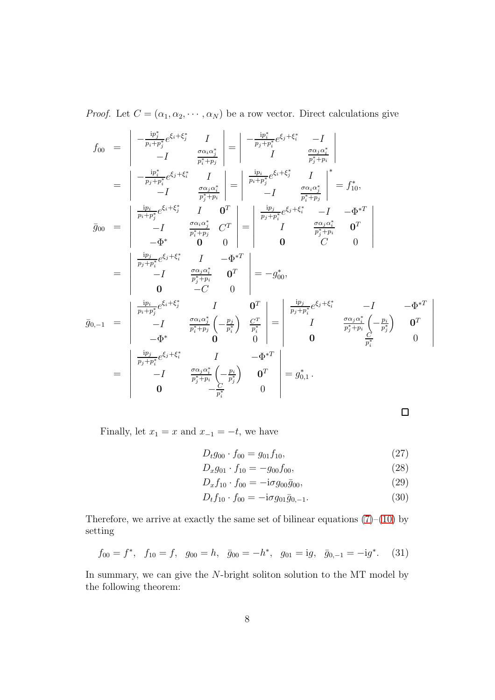*Proof.* Let  $C = (\alpha_1, \alpha_2, \cdots, \alpha_N)$  be a row vector. Direct calculations give

$$
f_{00} = \begin{vmatrix} -\frac{ip_j^*}{p_i + p_j^*} e^{\xi_i + \xi_j^*} & I & -\frac{ip_i^*}{p_j^* + p_j} \\ -I & \frac{\sigma a_i \alpha_j^*}{p_i^* + p_j} & I & -\frac{ip_i}{p_i + p_j^*} e^{\xi_i + \xi_i^*} & I \\ -I & \frac{\sigma a_j \alpha_i^*}{p_j^* + p_i} & -I & \frac{\sigma a_i \alpha_j^*}{p_i^* + p_j} \\ -I & \frac{\sigma a_j \alpha_i^*}{p_j^* + p_i} & -I & \frac{\sigma a_i \alpha_j^*}{p_i^* + p_j} \\ \frac{ip_i}{p_i + p_j^*} e^{\xi_i + \xi_j^*} & I & 0^T \\ -I & \frac{\sigma a_i \alpha_j^*}{p_i^* + p_j} & C^T & -\frac{1}{p_j^* + p_i^*} e^{\xi_j + \xi_i^*} & -I & -\Phi^{*T} \\ -I & \frac{\sigma a_i \alpha_j^*}{p_j^* + p_i^*} & C^T & -\frac{1}{p_j^* + p_i^*} e^{\xi_j + \xi_i^*} & -I & -\Phi^{*T} \\ -I & \frac{\sigma a_j \alpha_i^*}{p_j^* + p_i} & 0^T & 0 & C & 0 \\ 0 & -C & 0 & -C & 0 \\ 0 & -C & 0 & 0 & 0 \\ \frac{ip_i}{p_i + p_j^*} e^{\xi_i + \xi_j^*} & I & 0^T \\ -I & \frac{\sigma a_i \alpha_j^*}{p_i^* + p_j} \left( -\frac{p_j}{p_i^*} \right) & \frac{C^T}{p_i^*} \\ -\Phi^* & 0 & 0 & 0 \\ -\Phi^* & 0 & 0 & 0 \\ -\Phi^* & 0 & 0 & 0 \\ 0 & 0 & \frac{C}{p_i^*} \\ -I & \frac{\sigma a_j \alpha_i^*}{p_j^* + p_i} \left( -\frac{p_i}{p_j^*} \right) & 0^T \\ -I & \frac{\sigma a_j \alpha_i^*}{p_j^* + p_i} \left( -\frac{p_i}{p_j^*} \right) & 0^T \\ 0 & 0 & 0 & 0 \\ 0 & 0 & 0 & 0 \\ 0 & 0 & 0 & 0 \\ \end{vmatrix} = g_{0,1}^*.
$$

 $\Box$ 

Finally, let  $x_1 = x$  and  $x_{-1} = -t$ , we have

$$
D_t g_{00} \cdot f_{00} = g_{01} f_{10}, \tag{27}
$$

$$
D_x g_{01} \cdot f_{10} = -g_{00} f_{00}, \qquad (28)
$$

$$
D_x f_{10} \cdot f_{00} = -\mathrm{i} \sigma g_{00} \bar{g}_{00},\tag{29}
$$

$$
D_t f_{10} \cdot f_{00} = -i \sigma g_{01} \bar{g}_{0,-1}.
$$
 (30)

Therefore, we arrive at exactly the same set of bilinear equations  $(7)-(10)$  $(7)-(10)$  by setting

$$
f_{00} = f^*, \quad f_{10} = f, \quad g_{00} = h, \quad \bar{g}_{00} = -h^*, \quad g_{01} = ig, \quad \bar{g}_{0,-1} = -ig^*.
$$
 (31)

In summary, we can give the N-bright soliton solution to the MT model by the following theorem: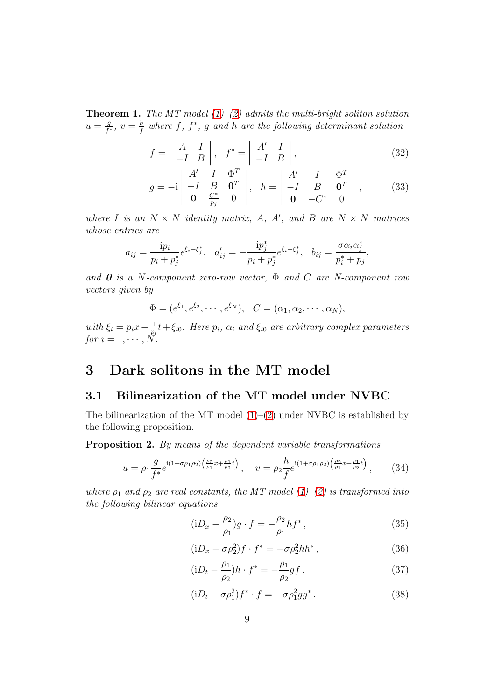**Theorem 1.** The MT model  $(1)$ – $(2)$  admits the multi-bright soliton solution  $u=\frac{g}{f}$  $\frac{g}{f^*}, v = \frac{h}{f}$  $\frac{h}{f}$  where  $f, f^*, g$  and  $h$  are the following determinant solution

<span id="page-9-2"></span>
$$
f = \begin{vmatrix} A & I \\ -I & B \end{vmatrix}, f^* = \begin{vmatrix} A' & I \\ -I & B \end{vmatrix},
$$
 (32)

$$
g = -i \begin{vmatrix} A' & I & \Phi^T \\ -I & B & \mathbf{0}^T \\ \mathbf{0} & \frac{C^*}{p_j} & 0 \end{vmatrix}, \quad h = \begin{vmatrix} A' & I & \Phi^T \\ -I & B & \mathbf{0}^T \\ \mathbf{0} & -C^* & 0 \end{vmatrix}, \quad (33)
$$

where I is an  $N \times N$  identity matrix, A, A', and B are  $N \times N$  matrices whose entries are

$$
a_{ij} = \frac{ip_i}{p_i + p_j^*} e^{\xi_i + \xi_j^*}, \quad a'_{ij} = -\frac{ip_j^*}{p_i + p_j^*} e^{\xi_i + \xi_j^*}, \quad b_{ij} = \frac{\sigma \alpha_i \alpha_j^*}{p_i^* + p_j},
$$

and  $\boldsymbol{0}$  is a N-component zero-row vector,  $\Phi$  and  $C$  are N-component row vectors given by

$$
\Phi = (e^{\xi_1}, e^{\xi_2}, \cdots, e^{\xi_N}), \quad C = (\alpha_1, \alpha_2, \cdots, \alpha_N),
$$

with  $\xi_i = p_i x - \frac{1}{p_i}$  $\frac{1}{p_i}t+\xi_{i0}$ . Here  $p_i$ ,  $\alpha_i$  and  $\xi_{i0}$  are arbitrary complex parameters for  $i = 1, \cdots, N$ .

# 3 Dark solitons in the MT model

#### 3.1 Bilinearization of the MT model under NVBC

The bilinearization of the MT model  $(1)–(2)$  $(1)–(2)$  under NVBC is established by the following proposition.

Proposition 2. By means of the dependent variable transformations

<span id="page-9-0"></span>
$$
u = \rho_1 \frac{g}{f^*} e^{i(1+\sigma \rho_1 \rho_2) \left(\frac{\rho_2}{\rho_1} x + \frac{\rho_1}{\rho_2} t\right)}, \quad v = \rho_2 \frac{h}{f} e^{i(1+\sigma \rho_1 \rho_2) \left(\frac{\rho_2}{\rho_1} x + \frac{\rho_1}{\rho_2} t\right)}, \quad (34)
$$

where  $\rho_1$  and  $\rho_2$  are real constants, the MT model [\(1\)](#page-1-0)–[\(2\)](#page-1-0) is transformed into the following bilinear equations

<span id="page-9-1"></span>
$$
(iD_x - \frac{\rho_2}{\rho_1})g \cdot f = -\frac{\rho_2}{\rho_1}hf^*,
$$
\n(35)

$$
(iD_x - \sigma \rho_2^2) f \cdot f^* = -\sigma \rho_2^2 h h^*,\tag{36}
$$

$$
(iD_t - \frac{\rho_1}{\rho_2})h \cdot f^* = -\frac{\rho_1}{\rho_2}gf , \qquad (37)
$$

$$
(iD_t - \sigma \rho_1^2) f^* \cdot f = -\sigma \rho_1^2 g g^*.
$$
 (38)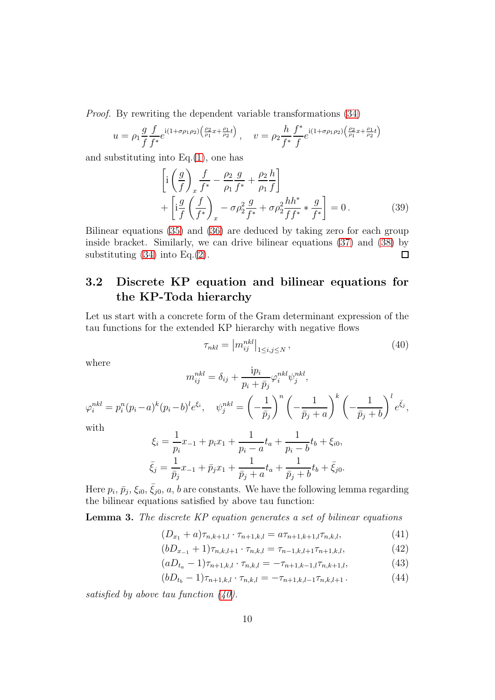Proof. By rewriting the dependent variable transformations [\(34\)](#page-9-0)

$$
u = \rho_1 \frac{g}{f} \frac{f}{f^*} e^{i(1+\sigma \rho_1 \rho_2) \left(\frac{\rho_2}{\rho_1} x + \frac{\rho_1}{\rho_2} t\right)}, \quad v = \rho_2 \frac{h}{f^*} \frac{f^*}{f} e^{i(1+\sigma \rho_1 \rho_2) \left(\frac{\rho_2}{\rho_1} x + \frac{\rho_1}{\rho_2} t\right)}
$$

and substituting into  $Eq.(1)$  $Eq.(1)$ , one has

$$
\left[ i \left( \frac{g}{f} \right)_{x} \frac{f}{f^{*}} - \frac{\rho_{2}}{\rho_{1}} \frac{g}{f^{*}} + \frac{\rho_{2}}{\rho_{1}} \frac{h}{f} \right] + \left[ i \frac{g}{f} \left( \frac{f}{f^{*}} \right)_{x} - \sigma \rho_{2}^{2} \frac{g}{f^{*}} + \sigma \rho_{2}^{2} \frac{h h^{*}}{f f^{*}} * \frac{g}{f^{*}} \right] = 0.
$$
\n(39)

Bilinear equations [\(35\)](#page-9-1) and [\(36\)](#page-9-1) are deduced by taking zero for each group inside bracket. Similarly, we can drive bilinear equations [\(37\)](#page-9-1) and [\(38\)](#page-9-1) by substituting  $(34)$  into Eq. $(2)$ .  $\Box$ 

## 3.2 Discrete KP equation and bilinear equations for the KP-Toda hierarchy

Let us start with a concrete form of the Gram determinant expression of the tau functions for the extended KP hierarchy with negative flows

<span id="page-10-0"></span>
$$
\tau_{nkl} = \left| m_{ij}^{nkl} \right|_{1 \le i,j \le N},\tag{40}
$$

where

$$
m_{ij}^{nkl} = \delta_{ij} + \frac{ip_i}{p_i + \bar{p}_j} \varphi_i^{nkl} \psi_j^{nkl},
$$

$$
\varphi_i^{nkl} = p_i^n (p_i - a)^k (p_i - b)^l e^{\xi_i}, \quad \psi_j^{nkl} = \left(-\frac{1}{\bar{p}_j}\right)^n \left(-\frac{1}{\bar{p}_j + a}\right)^k \left(-\frac{1}{\bar{p}_j + b}\right)^l e^{\bar{\xi}_j},
$$

with

$$
\xi_i = \frac{1}{p_i}x_{-1} + p_i x_1 + \frac{1}{p_i - a}t_a + \frac{1}{p_i - b}t_b + \xi_{i0},
$$
  

$$
\bar{\xi}_j = \frac{1}{\bar{p}_j}x_{-1} + \bar{p}_j x_1 + \frac{1}{\bar{p}_j + a}t_a + \frac{1}{\bar{p}_j + b}t_b + \bar{\xi}_{j0}.
$$

Here  $p_i, \bar{p}_j, \xi_{i0}, \bar{\xi}_{j0}, a, b$  are constants. We have the following lemma regarding the bilinear equations satisfied by above tau function:

Lemma 3. The discrete KP equation generates a set of bilinear equations

<span id="page-10-1"></span>
$$
(D_{x_1} + a)\tau_{n,k+1,l} \cdot \tau_{n+1,k,l} = a\tau_{n+1,k+1,l}\tau_{n,k,l}, \tag{41}
$$

$$
(bD_{x_{-1}} + 1)\tau_{n,k,l+1} \cdot \tau_{n,k,l} = \tau_{n-1,k,l+1}\tau_{n+1,k,l},\tag{42}
$$

$$
(aD_{t_a} - 1)\tau_{n+1,k,l} \cdot \tau_{n,k,l} = -\tau_{n+1,k-1,l}\tau_{n,k+1,l},\tag{43}
$$

$$
(bD_{t_b} - 1)\tau_{n+1,k,l} \cdot \tau_{n,k,l} = -\tau_{n+1,k,l-1}\tau_{n,k,l+1} \,. \tag{44}
$$

satisfied by above tau function  $(40)$ .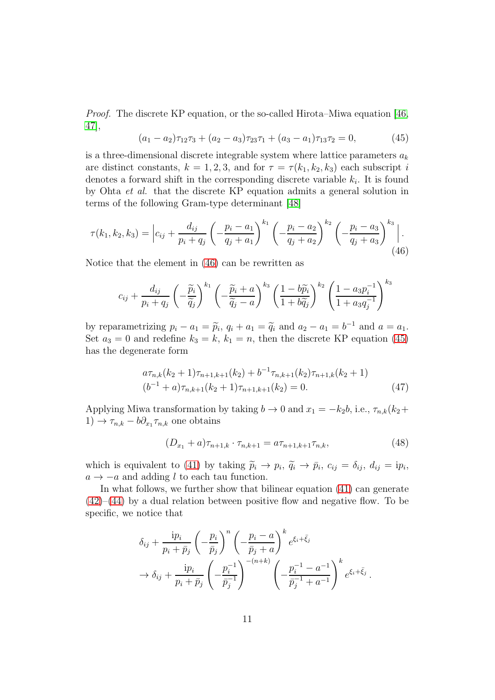Proof. The discrete KP equation, or the so-called Hirota–Miwa equation [\[46,](#page-27-6) [47\]](#page-27-7),

<span id="page-11-1"></span>
$$
(a_1 - a_2)\tau_{12}\tau_3 + (a_2 - a_3)\tau_{23}\tau_1 + (a_3 - a_1)\tau_{13}\tau_2 = 0, \tag{45}
$$

is a three-dimensional discrete integrable system where lattice parameters  $a_k$ are distinct constants,  $k = 1, 2, 3$ , and for  $\tau = \tau(k_1, k_2, k_3)$  each subscript i denotes a forward shift in the corresponding discrete variable  $k_i$ . It is found by Ohta et al. that the discrete KP equation admits a general solution in terms of the following Gram-type determinant [\[48\]](#page-27-8)

<span id="page-11-0"></span>
$$
\tau(k_1, k_2, k_3) = \left| c_{ij} + \frac{d_{ij}}{p_i + q_j} \left( -\frac{p_i - a_1}{q_j + a_1} \right)^{k_1} \left( -\frac{p_i - a_2}{q_j + a_2} \right)^{k_2} \left( -\frac{p_i - a_3}{q_j + a_3} \right)^{k_3} \right|.
$$
\n(46)

Notice that the element in [\(46\)](#page-11-0) can be rewritten as

$$
c_{ij} + \frac{d_{ij}}{p_i + q_j} \left( -\frac{\widetilde{p}_i}{\widetilde{q}_j} \right)^{k_1} \left( -\frac{\widetilde{p}_i + a}{\widetilde{q}_j - a} \right)^{k_3} \left( \frac{1 - b\widetilde{p}_i}{1 + b\widetilde{q}_j} \right)^{k_2} \left( \frac{1 - a_3 p_i^{-1}}{1 + a_3 q_j^{-1}} \right)^{k_3}
$$

by reparametrizing  $p_i - a_1 = \widetilde{p}_i$ ,  $q_i + a_1 = \widetilde{q}_i$  and  $a_2 - a_1 = b^{-1}$  and  $a = a_1$ . Set  $a_3 = 0$  and redefine  $k_3 = k$ ,  $k_1 = n$ , then the discrete KP equation [\(45\)](#page-11-1) has the degenerate form

$$
a\tau_{n,k}(k_2+1)\tau_{n+1,k+1}(k_2) + b^{-1}\tau_{n,k+1}(k_2)\tau_{n+1,k}(k_2+1)
$$
  

$$
(b^{-1}+a)\tau_{n,k+1}(k_2+1)\tau_{n+1,k+1}(k_2) = 0.
$$
 (47)

Applying Miwa transformation by taking  $b \to 0$  and  $x_1 = -k_2b$ , i.e.,  $\tau_{n,k}(k_2 +$  $(1) \rightarrow \tau_{n,k} - b \partial_{x_1} \tau_{n,k}$  one obtains

$$
(D_{x_1} + a)\tau_{n+1,k} \cdot \tau_{n,k+1} = a\tau_{n+1,k+1}\tau_{n,k},\tag{48}
$$

which is equivalent to [\(41\)](#page-10-1) by taking  $\tilde{p}_i \to p_i$ ,  $\tilde{q}_i \to \bar{p}_i$ ,  $c_{ij} = \delta_{ij}$ ,  $d_{ij} = ip_i$ ,  $a \rightarrow -a$  and adding l to each tau function.

In what follows, we further show that bilinear equation [\(41\)](#page-10-1) can generate  $(42)$ – $(44)$  by a dual relation between positive flow and negative flow. To be specific, we notice that

$$
\delta_{ij} + \frac{ip_i}{p_i + \bar{p}_j} \left( -\frac{p_i}{\bar{p}_j} \right)^n \left( -\frac{p_i - a}{\bar{p}_j + a} \right)^k e^{\xi_i + \bar{\xi}_j} \n\to \delta_{ij} + \frac{ip_i}{p_i + \bar{p}_j} \left( -\frac{p_i^{-1}}{\bar{p}_j^{-1}} \right)^{-(n+k)} \left( -\frac{p_i^{-1} - a^{-1}}{\bar{p}_j^{-1} + a^{-1}} \right)^k e^{\xi_i + \bar{\xi}_j}.
$$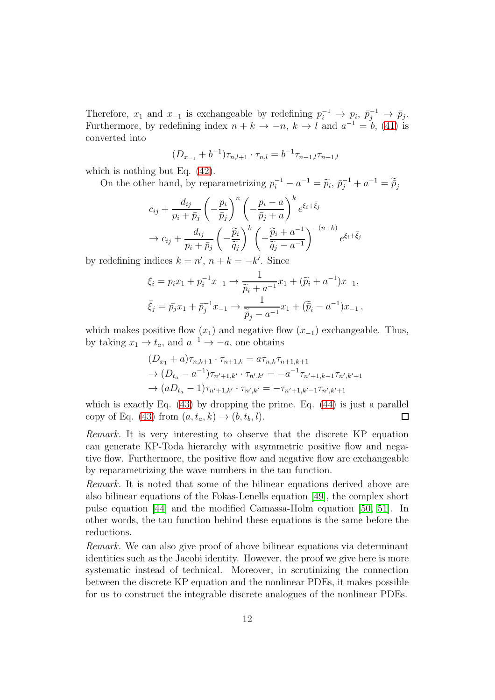Therefore,  $x_1$  and  $x_{-1}$  is exchangeable by redefining  $p_i^{-1} \to p_i$ ,  $p_j^{-1} \to p_j$ . Furthermore, by redefining index  $n + k \to -n$ ,  $k \to l$  and  $a^{-1} = b$ , [\(41\)](#page-10-1) is converted into

$$
(D_{x_{-1}} + b^{-1})\tau_{n,l+1} \cdot \tau_{n,l} = b^{-1}\tau_{n-1,l}\tau_{n+1,l}
$$

which is nothing but Eq. [\(42\)](#page-10-1).

On the other hand, by reparametrizing  $p_i^{-1} - a^{-1} = \tilde{p}_i$ ,  $\bar{p}_j^{-1} + a^{-1} = \tilde{p}_j$ 

$$
c_{ij} + \frac{d_{ij}}{p_i + \bar{p}_j} \left( -\frac{p_i}{\bar{p}_j} \right)^n \left( -\frac{p_i - a}{\bar{p}_j + a} \right)^k e^{\xi_i + \bar{\xi}_j}
$$
  
\n
$$
\rightarrow c_{ij} + \frac{d_{ij}}{p_i + \bar{p}_j} \left( -\frac{\tilde{p}_i}{\tilde{q}_j} \right)^k \left( -\frac{\tilde{p}_i + a^{-1}}{\tilde{q}_j - a^{-1}} \right)^{-(n+k)} e^{\xi_i + \bar{\xi}_j}
$$

by redefining indices  $k = n'$ ,  $n + k = -k'$ . Since

$$
\xi_i = p_i x_1 + p_i^{-1} x_{-1} \to \frac{1}{\widetilde{p}_i + a^{-1}} x_1 + (\widetilde{p}_i + a^{-1}) x_{-1},
$$
  

$$
\bar{\xi}_j = \bar{p}_j x_1 + \bar{p}_j^{-1} x_{-1} \to \frac{1}{\widetilde{\bar{p}}_j - a^{-1}} x_1 + (\widetilde{\bar{p}}_i - a^{-1}) x_{-1},
$$

which makes positive flow  $(x_1)$  and negative flow  $(x_{-1})$  exchangeable. Thus, by taking  $x_1 \to t_a$ , and  $a^{-1} \to -a$ , one obtains

$$
(D_{x_1} + a)\tau_{n,k+1} \cdot \tau_{n+1,k} = a\tau_{n,k}\tau_{n+1,k+1}
$$
  
\n
$$
\rightarrow (D_{t_a} - a^{-1})\tau_{n'+1,k'} \cdot \tau_{n',k'} = -a^{-1}\tau_{n'+1,k-1}\tau_{n',k'+1}
$$
  
\n
$$
\rightarrow (aD_{t_a} - 1)\tau_{n'+1,k'} \cdot \tau_{n',k'} = -\tau_{n'+1,k'-1}\tau_{n',k'+1}
$$

which is exactly Eq.  $(43)$  by dropping the prime. Eq.  $(44)$  is just a parallel copy of Eq. [\(43\)](#page-10-1) from  $(a, t_a, k) \rightarrow (b, t_b, l)$ .  $\Box$ 

Remark. It is very interesting to observe that the discrete KP equation can generate KP-Toda hierarchy with asymmetric positive flow and negative flow. Furthermore, the positive flow and negative flow are exchangeable by reparametrizing the wave numbers in the tau function.

Remark. It is noted that some of the bilinear equations derived above are also bilinear equations of the Fokas-Lenells equation [\[49\]](#page-27-9), the complex short pulse equation [\[44\]](#page-27-5) and the modified Camassa-Holm equation [\[50,](#page-27-10) [51\]](#page-27-11). In other words, the tau function behind these equations is the same before the reductions.

Remark. We can also give proof of above bilinear equations via determinant identities such as the Jacobi identity. However, the proof we give here is more systematic instead of technical. Moreover, in scrutinizing the connection between the discrete KP equation and the nonlinear PDEs, it makes possible for us to construct the integrable discrete analogues of the nonlinear PDEs.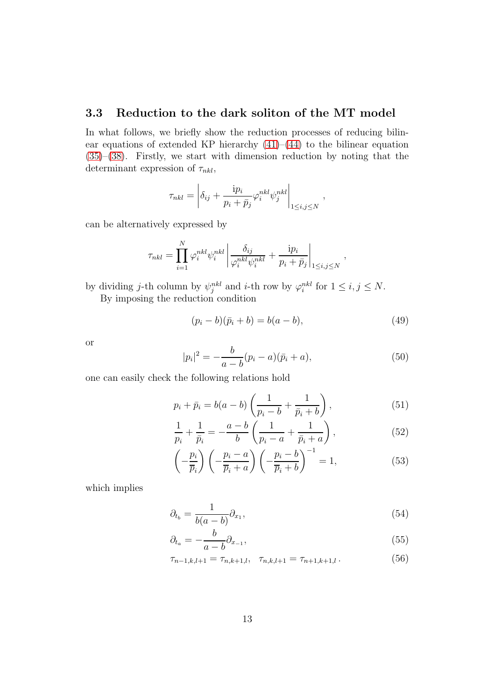### 3.3 Reduction to the dark soliton of the MT model

In what follows, we briefly show the reduction processes of reducing bilinear equations of extended KP hierarchy  $(41)$ – $(44)$  to the bilinear equation [\(35\)](#page-9-1)–[\(38\)](#page-9-1). Firstly, we start with dimension reduction by noting that the determinant expression of  $\tau_{nkl}$ ,

$$
\tau_{nkl} = \left| \delta_{ij} + \frac{\mathrm{i} p_i}{p_i + \bar{p}_j} \varphi_i^{nkl} \psi_j^{nkl} \right|_{1 \le i,j \le N},\,
$$

can be alternatively expressed by

$$
\tau_{nkl} = \prod_{i=1}^N \varphi_i^{nkl} \psi_i^{nkl} \left| \frac{\delta_{ij}}{\varphi_i^{nkl} \psi_i^{nkl}} + \frac{ip_i}{p_i + \bar{p}_j} \right|_{1 \le i,j \le N},
$$

by dividing j-th column by  $\psi_j^{nkl}$  and i-th row by  $\varphi_i^{nkl}$  for  $1 \le i, j \le N$ .

By imposing the reduction condition

$$
(p_i - b)(\bar{p}_i + b) = b(a - b),
$$
\n(49)

or

$$
|p_i|^2 = -\frac{b}{a-b}(p_i-a)(\bar{p}_i+a), \tag{50}
$$

one can easily check the following relations hold

$$
p_i + \bar{p}_i = b(a - b) \left( \frac{1}{p_i - b} + \frac{1}{\bar{p}_i + b} \right),
$$
 (51)

$$
\frac{1}{p_i} + \frac{1}{\bar{p}_i} = -\frac{a - b}{b} \left( \frac{1}{p_i - a} + \frac{1}{\bar{p}_i + a} \right),\tag{52}
$$

$$
\left(-\frac{p_i}{\overline{p}_i}\right)\left(-\frac{p_i-a}{\overline{p}_i+a}\right)\left(-\frac{p_i-b}{\overline{p}_i+b}\right)^{-1} = 1,\tag{53}
$$

which implies

$$
\partial_{t_b} = \frac{1}{b(a-b)} \partial_{x_1},\tag{54}
$$

$$
\partial_{t_a} = -\frac{b}{a-b}\partial_{x-1},\tag{55}
$$

$$
\tau_{n-1,k,l+1} = \tau_{n,k+1,l}, \quad \tau_{n,k,l+1} = \tau_{n+1,k+1,l} \,. \tag{56}
$$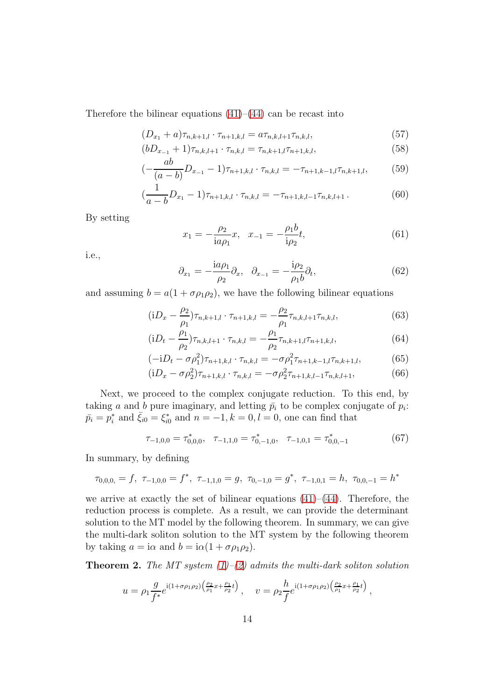Therefore the bilinear equations  $(41)$ – $(44)$  can be recast into

$$
(D_{x_1} + a)\tau_{n,k+1,l} \cdot \tau_{n+1,k,l} = a\tau_{n,k,l+1}\tau_{n,k,l},\tag{57}
$$

$$
(bD_{x_{-1}} + 1)\tau_{n,k,l+1} \cdot \tau_{n,k,l} = \tau_{n,k+1,l}\tau_{n+1,k,l},\tag{58}
$$

$$
\left(-\frac{ab}{(a-b)}D_{x_{-1}}-1\right)\tau_{n+1,k,l}\cdot\tau_{n,k,l}=-\tau_{n+1,k-1,l}\tau_{n,k+1,l},\qquad(59)
$$

$$
\left(\frac{1}{a-b}D_{x_1}-1\right)\tau_{n+1,k,l}\cdot\tau_{n,k,l}=-\tau_{n+1,k,l-1}\tau_{n,k,l+1}.\tag{60}
$$

By setting

$$
x_1 = -\frac{\rho_2}{i a \rho_1} x, \quad x_{-1} = -\frac{\rho_1 b}{i \rho_2} t,\tag{61}
$$

i.e.,

$$
\partial_{x_1} = -\frac{\mathrm{i}a\rho_1}{\rho_2}\partial_x, \quad \partial_{x_{-1}} = -\frac{\mathrm{i}\rho_2}{\rho_1 b}\partial_t,\tag{62}
$$

and assuming  $b = a(1 + \sigma \rho_1 \rho_2)$ , we have the following bilinear equations

$$
(iD_x - \frac{\rho_2}{\rho_1})\tau_{n,k+1,l} \cdot \tau_{n+1,k,l} = -\frac{\rho_2}{\rho_1} \tau_{n,k,l+1} \tau_{n,k,l},
$$
\n(63)

$$
(iD_t - \frac{\rho_1}{\rho_2})\tau_{n,k,l+1} \cdot \tau_{n,k,l} = -\frac{\rho_1}{\rho_2}\tau_{n,k+1,l}\tau_{n+1,k,l},
$$
\n(64)

$$
(-iD_t - \sigma \rho_1^2)\tau_{n+1,k,l} \cdot \tau_{n,k,l} = -\sigma \rho_1^2 \tau_{n+1,k-1,l} \tau_{n,k+1,l},\tag{65}
$$

$$
(iD_x - \sigma \rho_2^2) \tau_{n+1,k,l} \cdot \tau_{n,k,l} = -\sigma \rho_2^2 \tau_{n+1,k,l-1} \tau_{n,k,l+1}, \tag{66}
$$

Next, we proceed to the complex conjugate reduction. To this end, by taking a and b pure imaginary, and letting  $\bar{p}_i$  to be complex conjugate of  $p_i$ :  $\bar{p}_i = p_i^*$  and  $\bar{\xi}_{i0} = \xi_{i0}^*$  and  $n = -1, k = 0, l = 0$ , one can find that

$$
\tau_{-1,0,0} = \tau_{0,0,0}^*, \quad \tau_{-1,1,0} = \tau_{0,-1,0}^*, \quad \tau_{-1,0,1} = \tau_{0,0,-1}^* \tag{67}
$$

In summary, by defining

$$
\tau_{0,0,0,} = f, \ \tau_{-1,0,0} = f^*, \ \tau_{-1,1,0} = g, \ \tau_{0,-1,0} = g^*, \ \tau_{-1,0,1} = h, \ \tau_{0,0,-1} = h^*
$$

we arrive at exactly the set of bilinear equations  $(41)$ – $(44)$ . Therefore, the reduction process is complete. As a result, we can provide the determinant solution to the MT model by the following theorem. In summary, we can give the multi-dark soliton solution to the MT system by the following theorem by taking  $a = i\alpha$  and  $b = i\alpha(1 + \sigma \rho_1 \rho_2)$ .

**Theorem 2.** The MT system  $(1)$ – $(2)$  admits the multi-dark soliton solution

$$
u = \rho_1 \frac{g}{f^*} e^{i(1+\sigma \rho_1 \rho_2) \left(\frac{\rho_2}{\rho_1} x + \frac{\rho_1}{\rho_2} t\right)}, \quad v = \rho_2 \frac{h}{f} e^{i(1+\sigma \rho_1 \rho_2) \left(\frac{\rho_2}{\rho_1} x + \frac{\rho_1}{\rho_2} t\right)},
$$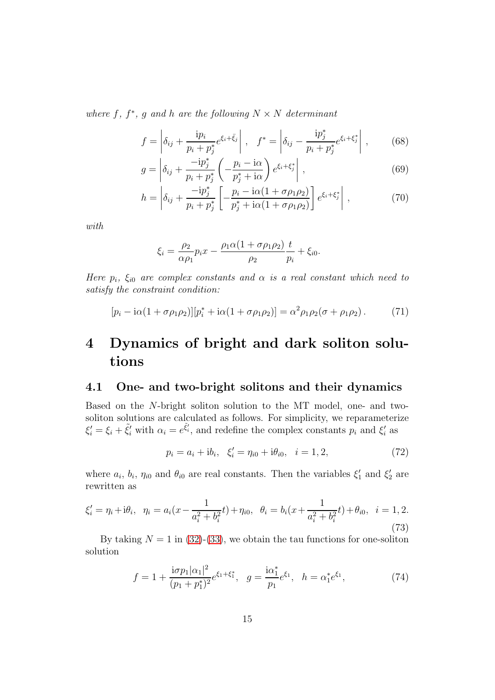where f,  $f^*$ , g and h are the following  $N \times N$  determinant

<span id="page-15-1"></span>
$$
f = \left| \delta_{ij} + \frac{\mathrm{i} p_i}{p_i + p_j^*} e^{\xi_i + \bar{\xi}_j} \right|, \quad f^* = \left| \delta_{ij} - \frac{\mathrm{i} p_j^*}{p_i + p_j^*} e^{\xi_i + \xi_j^*} \right|,
$$
(68)

$$
g = \left| \delta_{ij} + \frac{-ip_j^*}{p_i + p_j^*} \left( -\frac{p_i - i\alpha}{p_j^* + i\alpha} \right) e^{\xi_i + \xi_j^*} \right|,
$$
\n(69)

$$
h = \left| \delta_{ij} + \frac{-ip_j^*}{p_i + p_j^*} \left[ -\frac{p_i - i\alpha(1 + \sigma \rho_1 \rho_2)}{p_j^* + i\alpha(1 + \sigma \rho_1 \rho_2)} \right] e^{\xi_i + \xi_j^*} \right|,
$$
 (70)

with

$$
\xi_i = \frac{\rho_2}{\alpha \rho_1} p_i x - \frac{\rho_1 \alpha (1 + \sigma \rho_1 \rho_2)}{\rho_2} \frac{t}{p_i} + \xi_{i0}.
$$

Here  $p_i$ ,  $\xi_{i0}$  are complex constants and  $\alpha$  is a real constant which need to satisfy the constraint condition:

<span id="page-15-0"></span>
$$
[p_i - i\alpha(1 + \sigma \rho_1 \rho_2)][p_i^* + i\alpha(1 + \sigma \rho_1 \rho_2)] = \alpha^2 \rho_1 \rho_2 (\sigma + \rho_1 \rho_2). \tag{71}
$$

# 4 Dynamics of bright and dark soliton solutions

### 4.1 One- and two-bright solitons and their dynamics

Based on the N-bright soliton solution to the MT model, one- and twosoliton solutions are calculated as follows. For simplicity, we reparameterize  $\xi'_i = \xi_i + \tilde{\xi}'_i$  with  $\alpha_i = e^{\tilde{\xi}'_i}$ , and redefine the complex constants  $p_i$  and  $\xi'_i$  as

$$
p_i = a_i + ib_i, \quad \xi'_i = \eta_{i0} + i\theta_{i0}, \quad i = 1, 2,
$$
\n<sup>(72)</sup>

where  $a_i$ ,  $b_i$ ,  $\eta_{i0}$  and  $\theta_{i0}$  are real constants. Then the variables  $\xi'_1$  and  $\xi'_2$  are rewritten as

$$
\xi_i' = \eta_i + i\theta_i, \quad \eta_i = a_i(x - \frac{1}{a_i^2 + b_i^2}t) + \eta_{i0}, \quad \theta_i = b_i(x + \frac{1}{a_i^2 + b_i^2}t) + \theta_{i0}, \quad i = 1, 2.
$$
\n(73)

By taking  $N = 1$  in [\(32\)](#page-9-2)-[\(33\)](#page-9-2), we obtain the tau functions for one-soliton solution

$$
f = 1 + \frac{i\sigma p_1 |\alpha_1|^2}{(p_1 + p_1^*)^2} e^{\xi_1 + \xi_1^*}, \quad g = \frac{i\alpha_1^*}{p_1} e^{\xi_1}, \quad h = \alpha_1^* e^{\xi_1}, \tag{74}
$$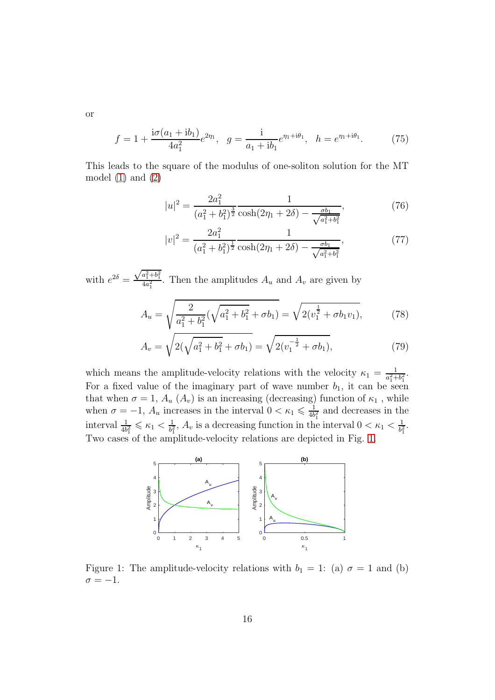or

<span id="page-16-1"></span>
$$
f = 1 + \frac{i\sigma(a_1 + ib_1)}{4a_1^2}e^{2\eta_1}, \quad g = \frac{i}{a_1 + ib_1}e^{\eta_1 + i\theta_1}, \quad h = e^{\eta_1 + i\theta_1}.
$$
 (75)

This leads to the square of the modulus of one-soliton solution for the MT model  $(1)$  and  $(2)$ 

$$
|u|^2 = \frac{2a_1^2}{(a_1^2 + b_1^2)^{\frac{3}{2}} \cosh(2\eta_1 + 2\delta) - \frac{\sigma b_1}{\sqrt{a_1^2 + b_1^2}}},\tag{76}
$$

$$
|v|^2 = \frac{2a_1^2}{(a_1^2 + b_1^2)^{\frac{1}{2}}} \frac{1}{\cosh(2\eta_1 + 2\delta) - \frac{\sigma b_1}{\sqrt{a_1^2 + b_1^2}}},\tag{77}
$$

with  $e^{2\delta} =$  $\sqrt{a_1^2+b_1^2}$  $\frac{a_1+o_1}{4a_1^2}$ . Then the amplitudes  $A_u$  and  $A_v$  are given by

$$
A_u = \sqrt{\frac{2}{a_1^2 + b_1^2} (\sqrt{a_1^2 + b_1^2} + \sigma b_1)} = \sqrt{2(v_1^{\frac{1}{2}} + \sigma b_1 v_1)},
$$
(78)

$$
A_v = \sqrt{2(\sqrt{a_1^2 + b_1^2} + \sigma b_1)} = \sqrt{2(v_1^{-\frac{1}{2}} + \sigma b_1)},
$$
\n(79)

which means the amplitude-velocity relations with the velocity  $\kappa_1 = \frac{1}{a_1^2 + 1}$  $\frac{1}{a_1^2+b_1^2}$ . For a fixed value of the imaginary part of wave number  $b_1$ , it can be seen that when  $\sigma = 1, A_u(A_v)$  is an increasing (decreasing) function of  $\kappa_1$ , while when  $\sigma = -1$ ,  $A_u$  increases in the interval  $0 < \kappa_1 \leq \frac{1}{4b}$  $\frac{1}{4b_1^2}$  and decreases in the interval  $\frac{1}{4b_1^2} \leqslant \kappa_1 < \frac{1}{b_1^2}$  $\frac{1}{b_1^2}$ ,  $A_v$  is a decreasing function in the interval  $0 < \kappa_1 < \frac{1}{b_1^2}$  $\frac{1}{b_1^2}$  . Two cases of the amplitude-velocity relations are depicted in Fig. [1.](#page-16-0)



<span id="page-16-0"></span>Figure 1: The amplitude-velocity relations with  $b_1 = 1$ : (a)  $\sigma = 1$  and (b)  $\sigma = -1.$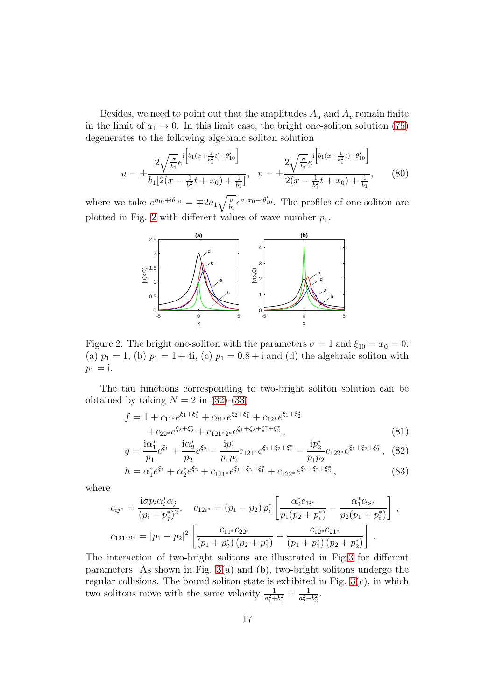Besides, we need to point out that the amplitudes  $A_u$  and  $A_v$  remain finite in the limit of  $a_1 \rightarrow 0$ . In this limit case, the bright one-soliton solution [\(75\)](#page-16-1) degenerates to the following algebraic soliton solution

$$
u = \pm \frac{2\sqrt{\frac{\sigma}{b_1}}e^{i\left[b_1(x + \frac{1}{b_1^2}t) + \theta'_{10}\right]}}{b_1[2(x - \frac{1}{b_1^2}t + x_0) + \frac{1}{b_1}]}, \quad v = \pm \frac{2\sqrt{\frac{\sigma}{b_1}}e^{i\left[b_1(x + \frac{1}{b_1^2}t) + \theta'_{10}\right]}}{2(x - \frac{1}{b_1^2}t + x_0) + \frac{1}{b_1}},\tag{80}
$$

where we take  $e^{\eta_{10}+i\theta_{10}} = \mp 2a_1 \sqrt{\frac{\sigma}{b_1}}$  $\frac{\sigma}{b_1}e^{a_1x_0+i\theta'_{10}}$ . The profiles of one-soliton are plotted in Fig. [2](#page-17-0) with different values of wave number  $p_1$ .



<span id="page-17-0"></span>Figure 2: The bright one-soliton with the parameters  $\sigma = 1$  and  $\xi_{10} = x_0 = 0$ : (a)  $p_1 = 1$ , (b)  $p_1 = 1 + 4i$ , (c)  $p_1 = 0.8 + i$  and (d) the algebraic soliton with  $p_1 = i.$ 

The tau functions corresponding to two-bright soliton solution can be obtained by taking  $N = 2$  in [\(32\)](#page-9-2)-[\(33\)](#page-9-2)

$$
f = 1 + c_{11*}e^{\xi_1 + \xi_1^*} + c_{21*}e^{\xi_2 + \xi_1^*} + c_{12*}e^{\xi_1 + \xi_2^*} + c_{22*}e^{\xi_2 + \xi_2^*} + c_{121*2*}e^{\xi_1 + \xi_2 + \xi_1^* + \xi_2^*},
$$
\n(81)

$$
g = \frac{\mathrm{i}\alpha_1^*}{p_1} e^{\xi_1} + \frac{\mathrm{i}\alpha_2^*}{p_2} e^{\xi_2} - \frac{\mathrm{i}p_1^*}{p_1 p_2} c_{121^*} e^{\xi_1 + \xi_2 + \xi_1^*} - \frac{\mathrm{i}p_2^*}{p_1 p_2} c_{122^*} e^{\xi_1 + \xi_2 + \xi_2^*}, \tag{82}
$$

$$
h = \alpha_1^* e^{\xi_1} + \alpha_2^* e^{\xi_2} + c_{121^*} e^{\xi_1 + \xi_2 + \xi_1^*} + c_{122^*} e^{\xi_1 + \xi_2 + \xi_2^*},
$$
\n(83)

where

$$
c_{ij^*} = \frac{\mathrm{i}\sigma p_i \alpha_i^* \alpha_j}{(p_i + p_j^*)^2}, \quad c_{12i^*} = (p_1 - p_2) p_i^* \left[ \frac{\alpha_2^* c_{1i^*}}{p_1 (p_2 + p_i^*)} - \frac{\alpha_1^* c_{2i^*}}{p_2 (p_1 + p_i^*)} \right],
$$
  

$$
c_{121^*2^*} = |p_1 - p_2|^2 \left[ \frac{c_{11^*} c_{22^*}}{(p_1 + p_2^*) (p_2 + p_1^*)} - \frac{c_{12^*} c_{21^*}}{(p_1 + p_1^*) (p_2 + p_2^*)} \right].
$$

The interaction of two-bright solitons are illustrated in Fig[.3](#page-18-0) for different parameters. As shown in Fig. [3\(](#page-18-0)a) and (b), two-bright solitons undergo the regular collisions. The bound soliton state is exhibited in Fig. [3\(](#page-18-0)c), in which two solitons move with the same velocity  $\frac{1}{a_1^2+b_1^2}=\frac{1}{a_2^2+1}$  $\frac{1}{a_2^2+b_2^2}$ .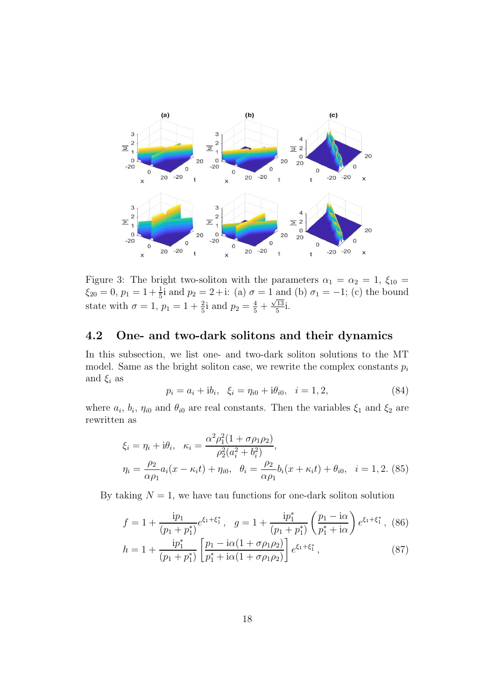

<span id="page-18-0"></span>Figure 3: The bright two-soliton with the parameters  $\alpha_1 = \alpha_2 = 1$ ,  $\xi_{10} =$  $\xi_{20} = 0, p_1 = 1 + \frac{1}{5}i$  and  $p_2 = 2 + i$ : (a)  $\sigma = 1$  and (b)  $\sigma_1 = -1$ ; (c) the bound state with  $\sigma = 1, p_1 = 1 + \frac{2}{5}i$  and  $p_2 = \frac{4}{5} + \frac{\sqrt{13}}{5}$  $\frac{13}{5}$ i.

### 4.2 One- and two-dark solitons and their dynamics

In this subsection, we list one- and two-dark soliton solutions to the MT model. Same as the bright soliton case, we rewrite the complex constants  $p_i$ and  $\xi_i$  as

$$
p_i = a_i + ib_i, \quad \xi_i = \eta_{i0} + i\theta_{i0}, \quad i = 1, 2,
$$
\n(84)

where  $a_i$ ,  $b_i$ ,  $\eta_{i0}$  and  $\theta_{i0}$  are real constants. Then the variables  $\xi_1$  and  $\xi_2$  are rewritten as

$$
\xi_i = \eta_i + i\theta_i, \quad \kappa_i = \frac{\alpha^2 \rho_1^2 (1 + \sigma \rho_1 \rho_2)}{\rho_2^2 (a_i^2 + b_i^2)},
$$
\n
$$
\eta_i = \frac{\rho_2}{\alpha \rho_1} a_i (x - \kappa_i t) + \eta_{i0}, \quad \theta_i = \frac{\rho_2}{\alpha \rho_1} b_i (x + \kappa_i t) + \theta_{i0}, \quad i = 1, 2. \text{ (85)}
$$

By taking  $N = 1$ , we have tau functions for one-dark soliton solution

$$
f = 1 + \frac{ip_1}{(p_1 + p_1^*)} e^{\xi_1 + \xi_1^*}, \quad g = 1 + \frac{ip_1^*}{(p_1 + p_1^*)} \left(\frac{p_1 - i\alpha}{p_1^* + i\alpha}\right) e^{\xi_1 + \xi_1^*}, \tag{86}
$$

$$
h = 1 + \frac{\mathrm{i}p_1^*}{(p_1 + p_1^*)} \left[ \frac{p_1 - \mathrm{i}\alpha (1 + \sigma \rho_1 \rho_2)}{p_1^* + \mathrm{i}\alpha (1 + \sigma \rho_1 \rho_2)} \right] e^{\xi_1 + \xi_1^*},\tag{87}
$$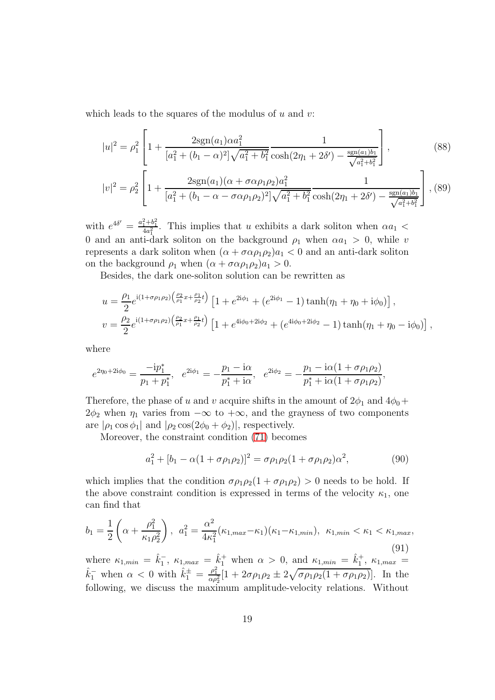which leads to the squares of the modulus of  $u$  and  $v$ :

$$
|u|^2 = \rho_1^2 \left[ 1 + \frac{2\text{sgn}(a_1)\alpha a_1^2}{[a_1^2 + (b_1 - \alpha)^2] \sqrt{a_1^2 + b_1^2} \cosh(2\eta_1 + 2\delta') - \frac{\text{sgn}(a_1)b_1}{\sqrt{a_1^2 + b_1^2}}} \right],
$$
\n(88)

$$
|v|^2 = \rho_2^2 \left[ 1 + \frac{2\text{sgn}(a_1)(\alpha + \sigma\alpha\rho_1\rho_2)a_1^2}{[a_1^2 + (b_1 - \alpha - \sigma\alpha\rho_1\rho_2)^2] \sqrt{a_1^2 + b_1^2}} \frac{1}{\cosh(2\eta_1 + 2\delta') - \frac{\text{sgn}(a_1)b_1}{\sqrt{a_1^2 + b_1^2}}} \right],
$$
(89)

with  $e^{4\delta'} = \frac{a_1^2 + b_1^2}{4a_1^2}$ . This implies that u exhibits a dark soliton when  $\alpha a_1$  < 0 and an anti-dark soliton on the background  $\rho_1$  when  $\alpha a_1 > 0$ , while v represents a dark soliton when  $(\alpha + \sigma \alpha \rho_1 \rho_2)a_1 < 0$  and an anti-dark soliton on the background  $\rho_1$  when  $(\alpha + \sigma \alpha \rho_1 \rho_2) a_1 > 0$ .

Besides, the dark one-soliton solution can be rewritten as

$$
u = \frac{\rho_1}{2} e^{i(1+\sigma\rho_1\rho_2) \left(\frac{\rho_2}{\rho_1}x + \frac{\rho_1}{\rho_2}t\right)} \left[1 + e^{2i\phi_1} + \left(e^{2i\phi_1} - 1\right) \tanh(\eta_1 + \eta_0 + i\phi_0)\right],
$$
  

$$
v = \frac{\rho_2}{2} e^{i(1+\sigma\rho_1\rho_2) \left(\frac{\rho_2}{\rho_1}x + \frac{\rho_1}{\rho_2}t\right)} \left[1 + e^{4i\phi_0 + 2i\phi_2} + \left(e^{4i\phi_0 + 2i\phi_2} - 1\right) \tanh(\eta_1 + \eta_0 - i\phi_0)\right],
$$

where

$$
e^{2\eta_0+2i\phi_0} = \frac{-ip_1^*}{p_1+p_1^*}, \quad e^{2i\phi_1} = -\frac{p_1-i\alpha}{p_1^*+i\alpha}, \quad e^{2i\phi_2} = -\frac{p_1-i\alpha(1+\sigma p_1p_2)}{p_1^*+i\alpha(1+\sigma p_1p_2)},
$$

Therefore, the phase of u and v acquire shifts in the amount of  $2\phi_1$  and  $4\phi_0 +$  $2\phi_2$  when  $\eta_1$  varies from  $-\infty$  to  $+\infty$ , and the grayness of two components are  $|\rho_1 \cos \phi_1|$  and  $|\rho_2 \cos(2\phi_0 + \phi_2)|$ , respectively.

Moreover, the constraint condition [\(71\)](#page-15-0) becomes

$$
a_1^2 + [b_1 - \alpha(1 + \sigma \rho_1 \rho_2)]^2 = \sigma \rho_1 \rho_2 (1 + \sigma \rho_1 \rho_2) \alpha^2, \tag{90}
$$

which implies that the condition  $\sigma \rho_1 \rho_2 (1 + \sigma \rho_1 \rho_2) > 0$  needs to be hold. If the above constraint condition is expressed in terms of the velocity  $\kappa_1$ , one can find that

$$
b_1 = \frac{1}{2} \left( \alpha + \frac{\rho_1^2}{\kappa_1 \rho_2^2} \right), \ a_1^2 = \frac{\alpha^2}{4\kappa_1^2} (\kappa_{1, max} - \kappa_1)(\kappa_1 - \kappa_{1, min}), \ \kappa_{1, min} < \kappa_1 < \kappa_{1, max}, \tag{91}
$$

where  $\kappa_{1,min} = \hat{k}_1^-$ ,  $\kappa_{1,max} = \hat{k}_1^+$  when  $\alpha > 0$ , and  $\kappa_{1,min} = \hat{k}_1^+$ ,  $\kappa_{1,max} =$  $\hat{k}_1^-$  when  $\alpha < 0$  with  $\hat{k}_1^{\pm} = \frac{\rho_1^2}{\alpha \rho_2^2} [1 + 2\sigma \rho_1 \rho_2 \pm 2\sqrt{\sigma \rho_1 \rho_2 (1 + \sigma \rho_1 \rho_2)}]$ . In the following, we discuss the maximum amplitude-velocity relations. Without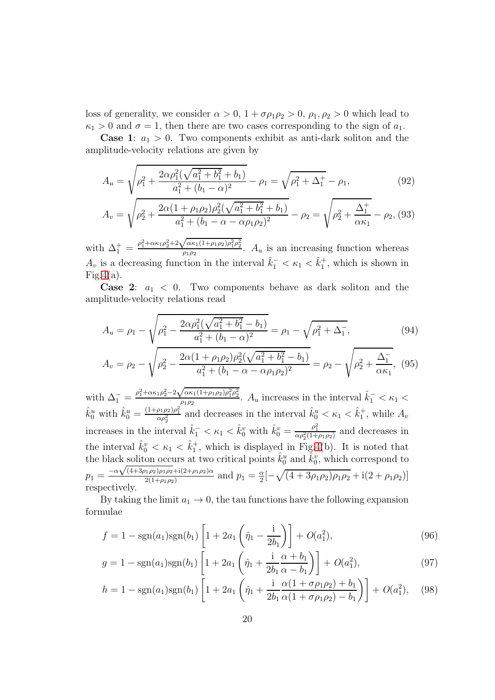loss of generality, we consider  $\alpha > 0$ ,  $1 + \sigma \rho_1 \rho_2 > 0$ ,  $\rho_1, \rho_2 > 0$  which lead to  $\kappa_1 > 0$  and  $\sigma = 1$ , then there are two cases corresponding to the sign of  $a_1$ .

**Case 1:**  $a_1 > 0$ . Two components exhibit as anti-dark soliton and the amplitude-velocity relations are given by

$$
A_u = \sqrt{\rho_1^2 + \frac{2\alpha\rho_1^2(\sqrt{a_1^2 + b_1^2} + b_1)}{a_1^2 + (b_1 - \alpha)^2}} - \rho_1 = \sqrt{\rho_1^2 + \Delta_1^+} - \rho_1,\tag{92}
$$

$$
A_v = \sqrt{\rho_2^2 + \frac{2\alpha(1 + \rho_1\rho_2)\rho_2^2(\sqrt{a_1^2 + b_1^2} + b_1)}{a_1^2 + (b_1 - \alpha - \alpha\rho_1\rho_2)^2}} - \rho_2 = \sqrt{\rho_2^2 + \frac{\Delta_1^+}{\alpha\kappa_1}} - \rho_2, (93)
$$

with  $\Delta_1^+ = \frac{\rho_1^2 + \alpha \kappa_1 \rho_2^2 + 2 \sqrt{\alpha \kappa_1 (1 + \rho_1 \rho_2) \rho_1^2 \rho_2^2}}{\rho_1 \rho_2}$  $A_{\rho_1\rho_2}^{\alpha\alpha_1(1+\rho_1\rho_2)\rho_1\rho_2}$ .  $A_u$  is an increasing function whereas  $A_v$  is a decreasing function in the interval  $\hat{k}_1^- < \kappa_1 < \hat{k}_1^+$ , which is shown in  $Fig.4(a).$  $Fig.4(a).$  $Fig.4(a).$ 

**Case 2:**  $a_1 < 0$ . Two components behave as dark soliton and the amplitude-velocity relations read

$$
A_u = \rho_1 - \sqrt{\rho_1^2 - \frac{2\alpha \rho_1^2(\sqrt{a_1^2 + b_1^2} - b_1)}{a_1^2 + (b_1 - \alpha)^2}} = \rho_1 - \sqrt{\rho_1^2 + \Delta_1^2},
$$
\n(94)

$$
A_v = \rho_2 - \sqrt{\rho_2^2 - \frac{2\alpha(1 + \rho_1 \rho_2)\rho_2^2(\sqrt{a_1^2 + b_1^2} - b_1)}{a_1^2 + (b_1 - \alpha - \alpha \rho_1 \rho_2)^2}} = \rho_2 - \sqrt{\rho_2^2 + \frac{\Delta_1^2}{\alpha \kappa_1}},
$$
(95)

with  $\Delta_1^- = \frac{\rho_1^2 + \alpha \kappa_1 \rho_2^2 - 2 \sqrt{\alpha \kappa_1 (1 + \rho_1 \rho_2) \rho_1^2 \rho_2^2}}{\rho_1 \rho_2}$  $\frac{(\alpha \kappa_1(1+\rho_1\rho_2)\rho_1^2\rho_2^2}{\rho_1\rho_2}$ .  $A_u$  increases in the interval  $\hat{k}_1^- < \kappa_1 <$  $\hat{k}_0^u$  with  $\hat{k}_0^u = \frac{(1+\rho_1\rho_2)\rho_1^2}{\alpha \rho_2^2}$  and decreases in the interval  $\hat{k}_0^u < \kappa_1 < \hat{k}_1^+$ , while  $A_v$ increases in the interval  $\hat{k}_1^- < \kappa_1 < \hat{k}_0^v$  with  $\hat{k}_0^v = \frac{\rho_1^2}{\alpha \rho_2^2 (1 + \rho_1 \rho_2)}$  and decreases in the interval  $\hat{k}_0^v < \kappa_1 < \hat{k}_1^+$ , which is displayed in Fig[.4\(](#page-21-0)b). It is noted that the black soliton occurs at two critical points  $\hat{k}_0^u$  and  $\hat{k}_0^v$ , which correspond to  $p_1 = \frac{-\alpha\sqrt{(4+3\rho_1\rho_2)\rho_1\rho_2} + i(2+\rho_1\rho_2)\alpha}{2(1+\rho_1\rho_2)}$  $\frac{2(1+\rho_1\rho_2)+1(2+\rho_1\rho_2)\alpha}{2(1+\rho_1\rho_2)}$  and  $p_1=\frac{\alpha}{2}$  $\frac{\alpha}{2}[-\sqrt{(4+3\rho_1\rho_2)\rho_1\rho_2} + i(2+\rho_1\rho_2)]$ respectively.

By taking the limit  $a_1 \to 0$ , the tau functions have the following expansion formulae

$$
f = 1 - \text{sgn}(a_1)\text{sgn}(b_1) \left[ 1 + 2a_1 \left( \hat{\eta}_1 - \frac{\text{i}}{2b_1} \right) \right] + O(a_1^2),\tag{96}
$$

$$
g = 1 - \text{sgn}(a_1)\text{sgn}(b_1) \left[ 1 + 2a_1 \left( \hat{\eta}_1 + \frac{\text{i}}{2b_1} \frac{\alpha + b_1}{\alpha - b_1} \right) \right] + O(a_1^2), \tag{97}
$$

$$
h = 1 - \text{sgn}(a_1)\text{sgn}(b_1) \left[ 1 + 2a_1 \left( \hat{\eta}_1 + \frac{\text{i}}{2b_1} \frac{\alpha (1 + \sigma \rho_1 \rho_2) + b_1}{\alpha (1 + \sigma \rho_1 \rho_2) - b_1} \right) \right] + O(a_1^2), \quad (98)
$$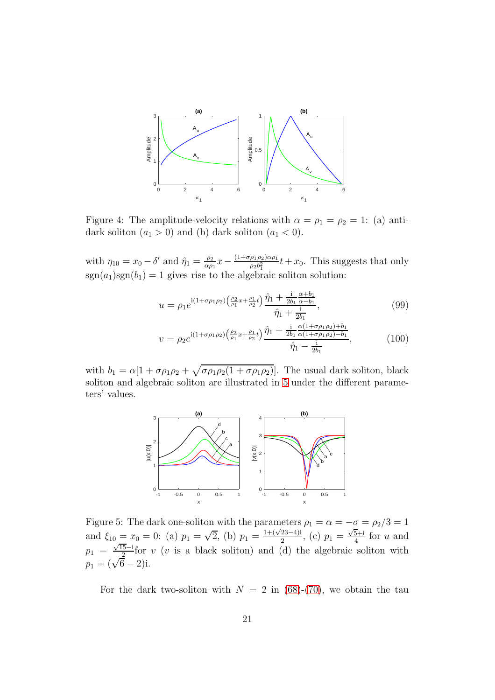

<span id="page-21-0"></span>Figure 4: The amplitude-velocity relations with  $\alpha = \rho_1 = \rho_2 = 1$ : (a) antidark soliton  $(a_1 > 0)$  and (b) dark soliton  $(a_1 < 0)$ .

with  $\eta_{10} = x_0 - \delta'$  and  $\hat{\eta}_1 = \frac{\rho_2}{\alpha \rho}$  $\frac{\rho_2}{\alpha \rho_1} x - \frac{(1+\sigma \rho_1 \rho_2) \alpha \rho_1}{\rho_2 b_1^2}$  $\frac{\rho_1 \rho_2 \rho_1}{\rho_2 b_1^2} t+x_0$ . This suggests that only  $sgn(a_1)sgn(b_1) = 1$  gives rise to the algebraic soliton solution:

$$
u = \rho_1 e^{i(1+\sigma \rho_1 \rho_2) \left(\frac{\rho_2}{\rho_1}x + \frac{\rho_1}{\rho_2}t\right)} \frac{\hat{\eta}_1 + \frac{i}{2b_1}\frac{\alpha + b_1}{\alpha - b_1}}{\hat{\eta}_1 + \frac{i}{2b_1}},\tag{99}
$$

$$
v = \rho_2 e^{\mathrm{i}(1+\sigma\rho_1\rho_2)\left(\frac{\rho_2}{\rho_1}x + \frac{\rho_1}{\rho_2}t\right)} \frac{\hat{\eta}_1 + \frac{\mathrm{i}}{2b_1} \frac{\alpha(1+\sigma\rho_1\rho_2) + b_1}{\alpha(1+\sigma\rho_1\rho_2) - b_1}}{\hat{\eta}_1 - \frac{\mathrm{i}}{2b_1}},\tag{100}
$$

with  $b_1 = \alpha[1 + \sigma \rho_1 \rho_2 + \sqrt{\sigma \rho_1 \rho_2 (1 + \sigma \rho_1 \rho_2)}]$ . The usual dark soliton, black soliton and algebraic soliton are illustrated in [5](#page-21-1) under the different parameters' values.



<span id="page-21-1"></span>Figure 5: The dark one-soliton with the parameters  $\rho_1 = \alpha = -\sigma = \rho_2/3 = 1$ and  $\xi_{10} \equiv x_0 = 0$ : (a)  $p_1 = \sqrt{2}$ , (b)  $p_1 = \frac{1+(\sqrt{23}-4)i}{2}$ , (c)  $p_1 = \frac{\sqrt{5}+i}{4}$  $\frac{5+1}{4}$  for u and  $p_1 = \frac{\sqrt{15}-i}{2}$  for v (v is a black soliton) and (d) the algebraic soliton with  $p_1 = (\sqrt{6} - 2)i.$ 

For the dark two-soliton with  $N = 2$  in [\(68\)](#page-15-1)-[\(70\)](#page-15-1), we obtain the tau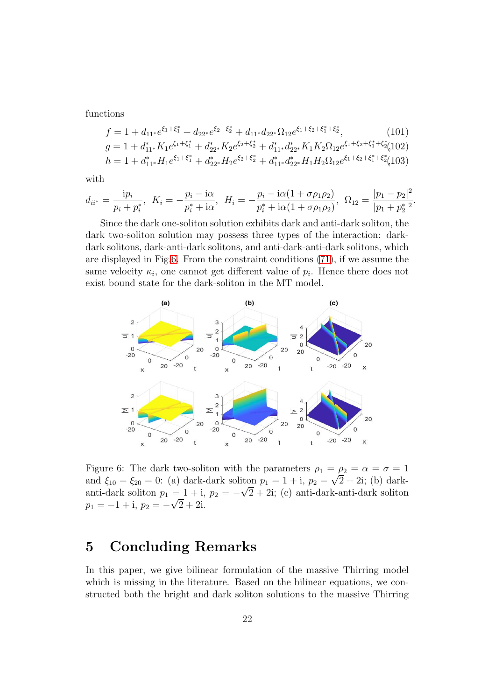functions

$$
f = 1 + d_{11*}e^{\xi_1 + \xi_1^*} + d_{22*}e^{\xi_2 + \xi_2^*} + d_{11*}d_{22*}\Omega_{12}e^{\xi_1 + \xi_2 + \xi_1^* + \xi_2^*},
$$
(101)  
\n
$$
g = 1 + d_{11*}^* K_1 e^{\xi_1 + \xi_1^*} + d_{22*}^* K_2 e^{\xi_2 + \xi_2^*} + d_{11*}^* d_{22*}^* K_1 K_2 \Omega_{12} e^{\xi_1 + \xi_2 + \xi_1^* + \xi_2^*}
$$
(102)  
\n
$$
h = 1 + d_{11*}^* H_1 e^{\xi_1 + \xi_1^*} + d_{22*}^* H_2 e^{\xi_2 + \xi_2^*} + d_{11*}^* d_{22*}^* H_1 H_2 \Omega_{12} e^{\xi_1 + \xi_2 + \xi_1^* + \xi_2^*}
$$
(103)

with

$$
d_{ii^*} = \frac{ip_i}{p_i + p_i^*}, \ K_i = -\frac{p_i - i\alpha}{p_i^* + i\alpha}, \ H_i = -\frac{p_i - i\alpha(1 + \sigma \rho_1 \rho_2)}{p_i^* + i\alpha(1 + \sigma \rho_1 \rho_2)}, \ \Omega_{12} = \frac{|p_1 - p_2|^2}{|p_1 + p_2^*|^2}.
$$

Since the dark one-soliton solution exhibits dark and anti-dark soliton, the dark two-soliton solution may possess three types of the interaction: darkdark solitons, dark-anti-dark solitons, and anti-dark-anti-dark solitons, which are displayed in Fig[.6.](#page-22-0) From the constraint conditions [\(71\)](#page-15-0), if we assume the same velocity  $\kappa_i$ , one cannot get different value of  $p_i$ . Hence there does not exist bound state for the dark-soliton in the MT model.



<span id="page-22-0"></span>Figure 6: The dark two-soliton with the parameters  $\rho_1 = \rho_2 = \alpha = \sigma = 1$ and  $\xi_{10} = \xi_{20} = 0$ : (a) dark-dark soliton  $p_1 = 1 + i$ ,  $p_2 = \sqrt{2} + 2i$ ; (b) darkanti-dark soliton  $p_1 = 1 + i$ ,  $p_2 = -\sqrt{2} + 2i$ ; (c) anti-dark-anti-dark soliton  $p_1 = -1 + i$ ,  $p_2 = -\sqrt{2} + 2i$ .

# 5 Concluding Remarks

In this paper, we give bilinear formulation of the massive Thirring model which is missing in the literature. Based on the bilinear equations, we constructed both the bright and dark soliton solutions to the massive Thirring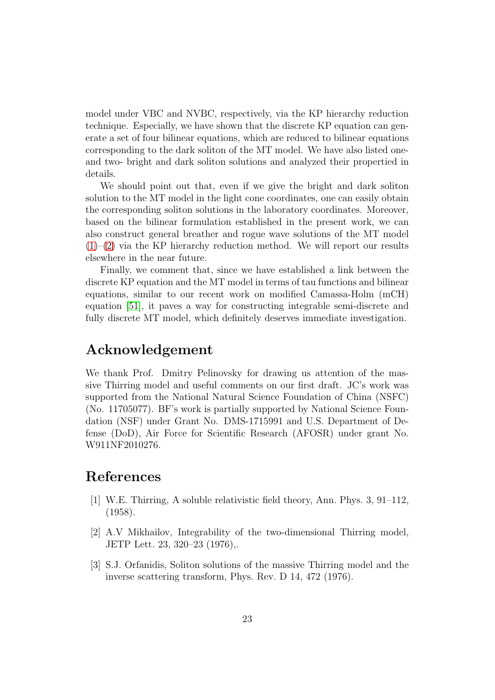model under VBC and NVBC, respectively, via the KP hierarchy reduction technique. Especially, we have shown that the discrete KP equation can generate a set of four bilinear equations, which are reduced to bilinear equations corresponding to the dark soliton of the MT model. We have also listed oneand two- bright and dark soliton solutions and analyzed their propertied in details.

We should point out that, even if we give the bright and dark soliton solution to the MT model in the light cone coordinates, one can easily obtain the corresponding soliton solutions in the laboratory coordinates. Moreover, based on the bilinear formulation established in the present work, we can also construct general breather and rogue wave solutions of the MT model  $(1)$ – $(2)$  via the KP hierarchy reduction method. We will report our results elsewhere in the near future.

Finally, we comment that, since we have established a link between the discrete KP equation and the MT model in terms of tau functions and bilinear equations, similar to our recent work on modified Camassa-Holm (mCH) equation [\[51\]](#page-27-11), it paves a way for constructing integrable semi-discrete and fully discrete MT model, which definitely deserves immediate investigation.

# Acknowledgement

We thank Prof. Dmitry Pelinovsky for drawing us attention of the massive Thirring model and useful comments on our first draft. JC's work was supported from the National Natural Science Foundation of China (NSFC) (No. 11705077). BF's work is partially supported by National Science Foundation (NSF) under Grant No. DMS-1715991 and U.S. Department of Defense (DoD), Air Force for Scientific Research (AFOSR) under grant No. W911NF2010276.

# <span id="page-23-0"></span>References

- [1] W.E. Thirring, A soluble relativistic field theory, Ann. Phys. 3, 91–112, (1958).
- <span id="page-23-1"></span>[2] A.V Mikhailov, Integrability of the two-dimensional Thirring model, JETP Lett. 23, 320–23 (1976),.
- <span id="page-23-2"></span>[3] S.J. Orfanidis, Soliton solutions of the massive Thirring model and the inverse scattering transform, Phys. Rev. D 14, 472 (1976).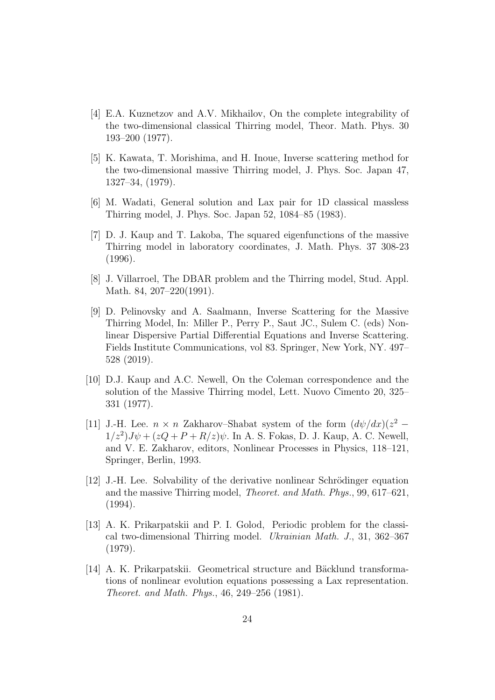- <span id="page-24-0"></span>[4] E.A. Kuznetzov and A.V. Mikhailov, On the complete integrability of the two-dimensional classical Thirring model, Theor. Math. Phys. 30 193–200 (1977).
- <span id="page-24-1"></span>[5] K. Kawata, T. Morishima, and H. Inoue, Inverse scattering method for the two-dimensional massive Thirring model, J. Phys. Soc. Japan 47, 1327–34, (1979).
- <span id="page-24-3"></span><span id="page-24-2"></span>[6] M. Wadati, General solution and Lax pair for 1D classical massless Thirring model, J. Phys. Soc. Japan 52, 1084–85 (1983).
- [7] D. J. Kaup and T. Lakoba, The squared eigenfunctions of the massive Thirring model in laboratory coordinates, J. Math. Phys. 37 308-23 (1996).
- <span id="page-24-5"></span><span id="page-24-4"></span>[8] J. Villarroel, The DBAR problem and the Thirring model, Stud. Appl. Math. 84, 207–220(1991).
- [9] D. Pelinovsky and A. Saalmann, Inverse Scattering for the Massive Thirring Model, In: Miller P., Perry P., Saut JC., Sulem C. (eds) Nonlinear Dispersive Partial Differential Equations and Inverse Scattering. Fields Institute Communications, vol 83. Springer, New York, NY. 497– 528 (2019).
- <span id="page-24-6"></span>[10] D.J. Kaup and A.C. Newell, On the Coleman correspondence and the solution of the Massive Thirring model, Lett. Nuovo Cimento 20, 325– 331 (1977).
- <span id="page-24-7"></span>[11] J.-H. Lee.  $n \times n$  Zakharov–Shabat system of the form  $(d\psi/dx)(z^2 - z^2)$  $1/z^2$ ) $J\psi + (zQ + P + R/z)\psi$ . In A. S. Fokas, D. J. Kaup, A. C. Newell, and V. E. Zakharov, editors, Nonlinear Processes in Physics, 118–121, Springer, Berlin, 1993.
- <span id="page-24-8"></span>[12] J.-H. Lee. Solvability of the derivative nonlinear Schrödinger equation and the massive Thirring model, Theoret. and Math. Phys., 99, 617–621, (1994).
- <span id="page-24-9"></span>[13] A. K. Prikarpatskii and P. I. Golod, Periodic problem for the classical two-dimensional Thirring model. Ukrainian Math. J., 31, 362–367 (1979).
- <span id="page-24-10"></span>[14] A. K. Prikarpatskii. Geometrical structure and Bäcklund transformations of nonlinear evolution equations possessing a Lax representation. Theoret. and Math. Phys., 46, 249–256 (1981).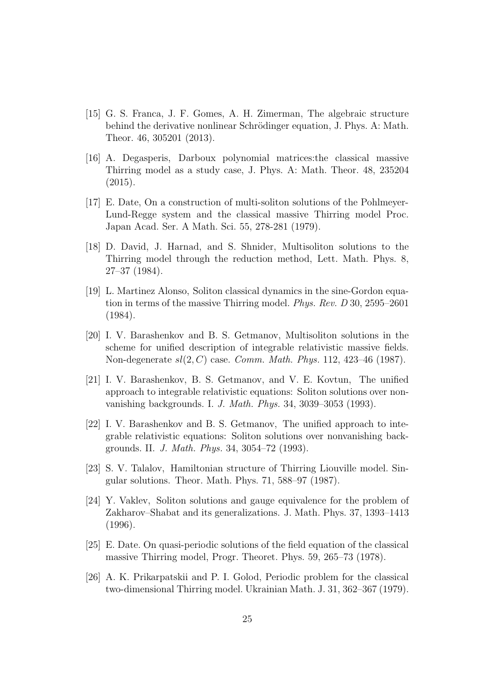- <span id="page-25-0"></span>[15] G. S. Franca, J. F. Gomes, A. H. Zimerman, The algebraic structure behind the derivative nonlinear Schrödinger equation, J. Phys. A: Math. Theor. 46, 305201 (2013).
- <span id="page-25-1"></span>[16] A. Degasperis, Darboux polynomial matrices:the classical massive Thirring model as a study case, J. Phys. A: Math. Theor. 48, 235204 (2015).
- <span id="page-25-2"></span>[17] E. Date, On a construction of multi-soliton solutions of the Pohlmeyer-Lund-Regge system and the classical massive Thirring model Proc. Japan Acad. Ser. A Math. Sci. 55, 278-281 (1979).
- <span id="page-25-3"></span>[18] D. David, J. Harnad, and S. Shnider, Multisoliton solutions to the Thirring model through the reduction method, Lett. Math. Phys. 8, 27–37 (1984).
- <span id="page-25-4"></span>[19] L. Martinez Alonso, Soliton classical dynamics in the sine-Gordon equation in terms of the massive Thirring model. Phys. Rev. D 30, 2595–2601 (1984).
- <span id="page-25-5"></span>[20] I. V. Barashenkov and B. S. Getmanov, Multisoliton solutions in the scheme for unified description of integrable relativistic massive fields. Non-degenerate  $sl(2, C)$  case. Comm. Math. Phys. 112, 423-46 (1987).
- <span id="page-25-6"></span>[21] I. V. Barashenkov, B. S. Getmanov, and V. E. Kovtun, The unified approach to integrable relativistic equations: Soliton solutions over nonvanishing backgrounds. I. J. Math. Phys. 34, 3039–3053 (1993).
- <span id="page-25-7"></span>[22] I. V. Barashenkov and B. S. Getmanov, The unified approach to integrable relativistic equations: Soliton solutions over nonvanishing backgrounds. II. J. Math. Phys. 34, 3054–72 (1993).
- <span id="page-25-8"></span>[23] S. V. Talalov, Hamiltonian structure of Thirring Liouville model. Singular solutions. Theor. Math. Phys. 71, 588–97 (1987).
- <span id="page-25-9"></span>[24] Y. Vaklev, Soliton solutions and gauge equivalence for the problem of Zakharov–Shabat and its generalizations. J. Math. Phys. 37, 1393–1413 (1996).
- <span id="page-25-10"></span>[25] E. Date. On quasi-periodic solutions of the field equation of the classical massive Thirring model, Progr. Theoret. Phys. 59, 265–73 (1978).
- <span id="page-25-11"></span>[26] A. K. Prikarpatskii and P. I. Golod, Periodic problem for the classical two-dimensional Thirring model. Ukrainian Math. J. 31, 362–367 (1979).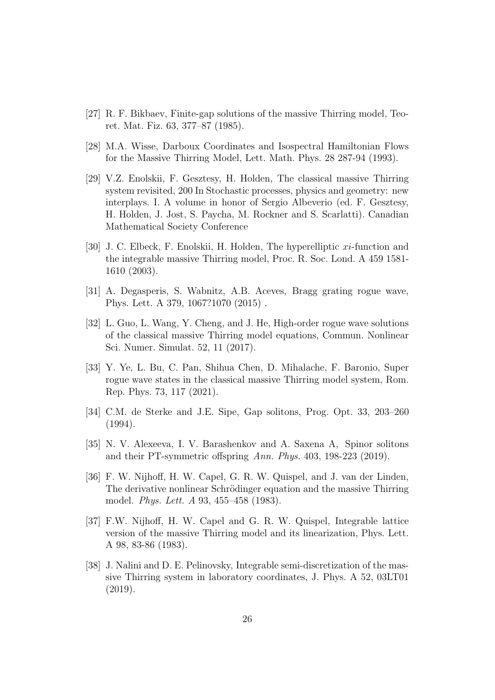- <span id="page-26-1"></span><span id="page-26-0"></span>[27] R. F. Bikbaev, Finite-gap solutions of the massive Thirring model, Teoret. Mat. Fiz. 63, 377–87 (1985).
- <span id="page-26-2"></span>[28] M.A. Wisse, Darboux Coordinates and Isospectral Hamiltonian Flows for the Massive Thirring Model, Lett. Math. Phys. 28 287-94 (1993).
- [29] V.Z. Enolskii, F. Gesztesy, H. Holden, The classical massive Thirring system revisited, 200 In Stochastic processes, physics and geometry: new interplays. I. A volume in honor of Sergio Albeverio (ed. F. Gesztesy, H. Holden, J. Jost, S. Paycha, M. Rockner and S. Scarlatti). Canadian Mathematical Society Conference
- <span id="page-26-3"></span>[30] J. C. Elbeck, F. Enolskii, H. Holden, The hyperelliptic xi-function and the integrable massive Thirring model, Proc. R. Soc. Lond. A 459 1581- 1610 (2003).
- <span id="page-26-5"></span><span id="page-26-4"></span>[31] A. Degasperis, S. Wabnitz, A.B. Aceves, Bragg grating rogue wave, Phys. Lett. A 379, 1067?1070 (2015) .
- [32] L. Guo, L. Wang, Y. Cheng, and J. He, High-order rogue wave solutions of the classical massive Thirring model equations, Commun. Nonlinear Sci. Numer. Simulat. 52, 11 (2017).
- <span id="page-26-6"></span>[33] Y. Ye, L. Bu, C. Pan, Shihua Chen, D. Mihalache, F. Baronio, Super rogue wave states in the classical massive Thirring model system, Rom. Rep. Phys. 73, 117 (2021).
- <span id="page-26-7"></span>[34] C.M. de Sterke and J.E. Sipe, Gap solitons, Prog. Opt. 33, 203–260 (1994).
- <span id="page-26-8"></span>[35] N. V. Alexeeva, I. V. Barashenkov and A. Saxena A, Spinor solitons and their PT-symmetric offspring Ann. Phys. 403, 198-223 (2019).
- <span id="page-26-9"></span>[36] F. W. Nijhoff, H. W. Capel, G. R. W. Quispel, and J. van der Linden, The derivative nonlinear Schrödinger equation and the massive Thirring model. Phys. Lett. A 93, 455–458 (1983).
- <span id="page-26-10"></span>[37] F.W. Nijhoff, H. W. Capel and G. R. W. Quispel, Integrable lattice version of the massive Thirring model and its linearization, Phys. Lett. A 98, 83-86 (1983).
- <span id="page-26-11"></span>[38] J. Nalini and D. E. Pelinovsky, Integrable semi-discretization of the massive Thirring system in laboratory coordinates, J. Phys. A 52, 03LT01 (2019).